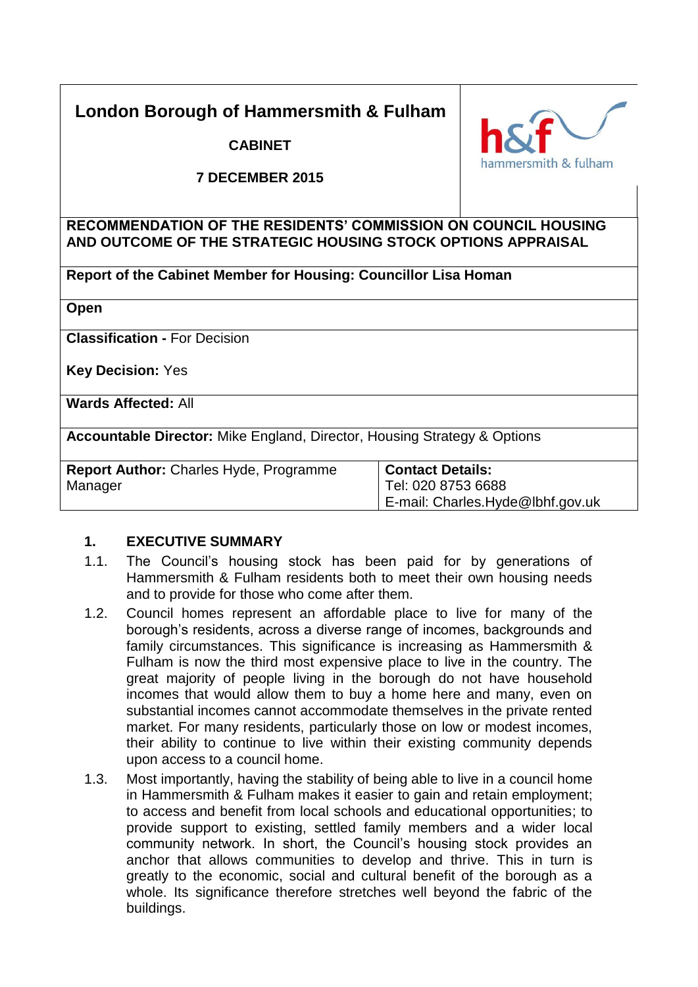# **London Borough of Hammersmith & Fulham**

**CABINET**



### **7 DECEMBER 2015**

# **RECOMMENDATION OF THE RESIDENTS' COMMISSION ON COUNCIL HOUSING AND OUTCOME OF THE STRATEGIC HOUSING STOCK OPTIONS APPRAISAL**

**Report of the Cabinet Member for Housing: Councillor Lisa Homan**

**Open**

**Classification -** For Decision

**Key Decision:** Yes

**Wards Affected:** All

**Accountable Director:** Mike England, Director, Housing Strategy & Options

| <b>Report Author: Charles Hyde, Programme</b> | <b>Contact Details:</b>             |  |
|-----------------------------------------------|-------------------------------------|--|
| Manager                                       | Tel: 020 8753 6688                  |  |
|                                               | $E$ -mail: Charles.Hyde@lbhf.gov.uk |  |

# **1. EXECUTIVE SUMMARY**

- 1.1. The Council's housing stock has been paid for by generations of Hammersmith & Fulham residents both to meet their own housing needs and to provide for those who come after them.
- 1.2. Council homes represent an affordable place to live for many of the borough's residents, across a diverse range of incomes, backgrounds and family circumstances. This significance is increasing as Hammersmith & Fulham is now the third most expensive place to live in the country. The great majority of people living in the borough do not have household incomes that would allow them to buy a home here and many, even on substantial incomes cannot accommodate themselves in the private rented market. For many residents, particularly those on low or modest incomes, their ability to continue to live within their existing community depends upon access to a council home.
- 1.3. Most importantly, having the stability of being able to live in a council home in Hammersmith & Fulham makes it easier to gain and retain employment; to access and benefit from local schools and educational opportunities; to provide support to existing, settled family members and a wider local community network. In short, the Council's housing stock provides an anchor that allows communities to develop and thrive. This in turn is greatly to the economic, social and cultural benefit of the borough as a whole. Its significance therefore stretches well beyond the fabric of the buildings.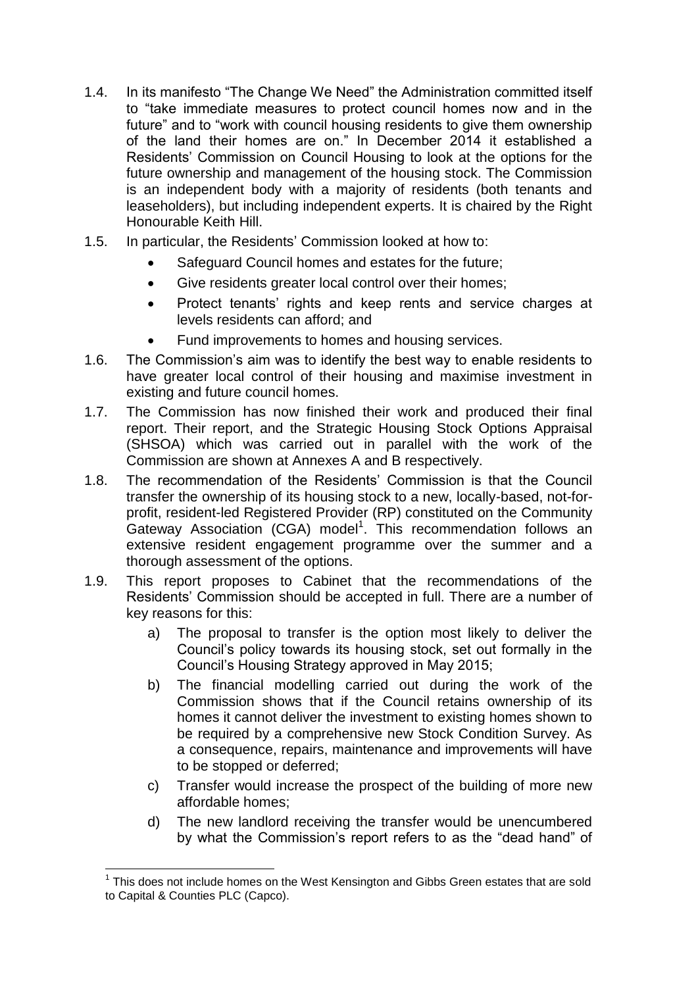- 1.4. In its manifesto "The Change We Need" the Administration committed itself to "take immediate measures to protect council homes now and in the future" and to "work with council housing residents to give them ownership of the land their homes are on." In December 2014 it established a Residents' Commission on Council Housing to look at the options for the future ownership and management of the housing stock. The Commission is an independent body with a majority of residents (both tenants and leaseholders), but including independent experts. It is chaired by the Right Honourable Keith Hill.
- 1.5. In particular, the Residents' Commission looked at how to:
	- Safeguard Council homes and estates for the future;
	- Give residents greater local control over their homes;
	- Protect tenants' rights and keep rents and service charges at levels residents can afford; and
	- Fund improvements to homes and housing services.
- 1.6. The Commission's aim was to identify the best way to enable residents to have greater local control of their housing and maximise investment in existing and future council homes.
- 1.7. The Commission has now finished their work and produced their final report. Their report, and the Strategic Housing Stock Options Appraisal (SHSOA) which was carried out in parallel with the work of the Commission are shown at Annexes A and B respectively.
- 1.8. The recommendation of the Residents' Commission is that the Council transfer the ownership of its housing stock to a new, locally-based, not-forprofit, resident-led Registered Provider (RP) constituted on the Community Gateway Association (CGA) model<sup>1</sup>. This recommendation follows an extensive resident engagement programme over the summer and a thorough assessment of the options.
- 1.9. This report proposes to Cabinet that the recommendations of the Residents' Commission should be accepted in full. There are a number of key reasons for this:
	- a) The proposal to transfer is the option most likely to deliver the Council's policy towards its housing stock, set out formally in the Council's Housing Strategy approved in May 2015;
	- b) The financial modelling carried out during the work of the Commission shows that if the Council retains ownership of its homes it cannot deliver the investment to existing homes shown to be required by a comprehensive new Stock Condition Survey. As a consequence, repairs, maintenance and improvements will have to be stopped or deferred;
	- c) Transfer would increase the prospect of the building of more new affordable homes;
	- d) The new landlord receiving the transfer would be unencumbered by what the Commission's report refers to as the "dead hand" of

l  $1$  This does not include homes on the West Kensington and Gibbs Green estates that are sold to Capital & Counties PLC (Capco).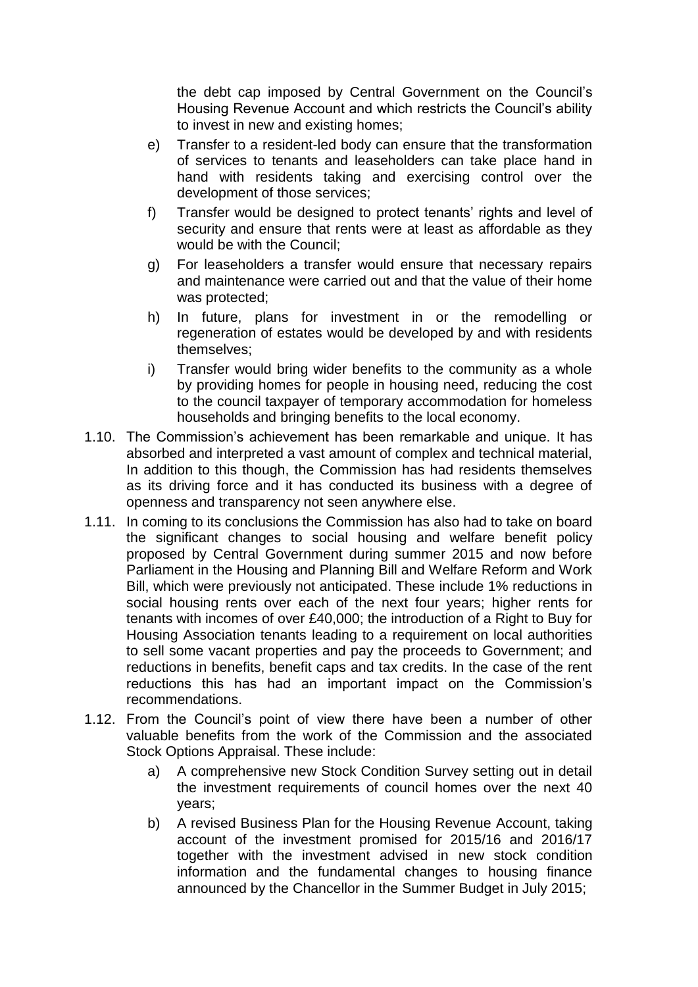the debt cap imposed by Central Government on the Council's Housing Revenue Account and which restricts the Council's ability to invest in new and existing homes;

- e) Transfer to a resident-led body can ensure that the transformation of services to tenants and leaseholders can take place hand in hand with residents taking and exercising control over the development of those services;
- f) Transfer would be designed to protect tenants' rights and level of security and ensure that rents were at least as affordable as they would be with the Council;
- g) For leaseholders a transfer would ensure that necessary repairs and maintenance were carried out and that the value of their home was protected;
- h) In future, plans for investment in or the remodelling or regeneration of estates would be developed by and with residents themselves;
- i) Transfer would bring wider benefits to the community as a whole by providing homes for people in housing need, reducing the cost to the council taxpayer of temporary accommodation for homeless households and bringing benefits to the local economy.
- 1.10. The Commission's achievement has been remarkable and unique. It has absorbed and interpreted a vast amount of complex and technical material, In addition to this though, the Commission has had residents themselves as its driving force and it has conducted its business with a degree of openness and transparency not seen anywhere else.
- 1.11. In coming to its conclusions the Commission has also had to take on board the significant changes to social housing and welfare benefit policy proposed by Central Government during summer 2015 and now before Parliament in the Housing and Planning Bill and Welfare Reform and Work Bill, which were previously not anticipated. These include 1% reductions in social housing rents over each of the next four years; higher rents for tenants with incomes of over £40,000; the introduction of a Right to Buy for Housing Association tenants leading to a requirement on local authorities to sell some vacant properties and pay the proceeds to Government; and reductions in benefits, benefit caps and tax credits. In the case of the rent reductions this has had an important impact on the Commission's recommendations.
- 1.12. From the Council's point of view there have been a number of other valuable benefits from the work of the Commission and the associated Stock Options Appraisal. These include:
	- a) A comprehensive new Stock Condition Survey setting out in detail the investment requirements of council homes over the next 40 years;
	- b) A revised Business Plan for the Housing Revenue Account, taking account of the investment promised for 2015/16 and 2016/17 together with the investment advised in new stock condition information and the fundamental changes to housing finance announced by the Chancellor in the Summer Budget in July 2015;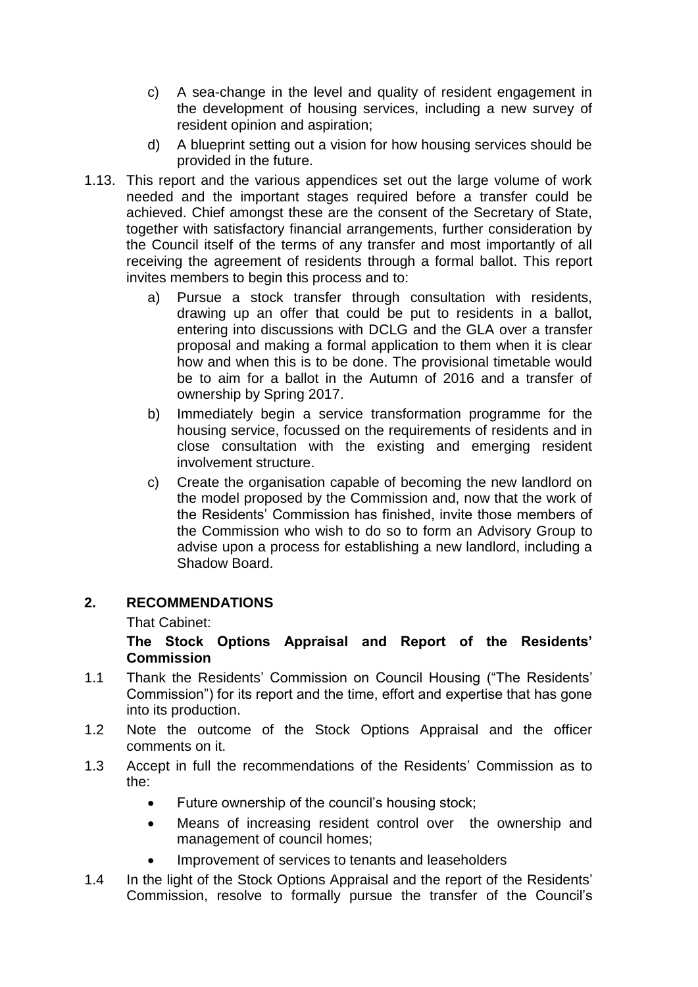- c) A sea-change in the level and quality of resident engagement in the development of housing services, including a new survey of resident opinion and aspiration;
- d) A blueprint setting out a vision for how housing services should be provided in the future.
- 1.13. This report and the various appendices set out the large volume of work needed and the important stages required before a transfer could be achieved. Chief amongst these are the consent of the Secretary of State, together with satisfactory financial arrangements, further consideration by the Council itself of the terms of any transfer and most importantly of all receiving the agreement of residents through a formal ballot. This report invites members to begin this process and to:
	- a) Pursue a stock transfer through consultation with residents, drawing up an offer that could be put to residents in a ballot, entering into discussions with DCLG and the GLA over a transfer proposal and making a formal application to them when it is clear how and when this is to be done. The provisional timetable would be to aim for a ballot in the Autumn of 2016 and a transfer of ownership by Spring 2017.
	- b) Immediately begin a service transformation programme for the housing service, focussed on the requirements of residents and in close consultation with the existing and emerging resident involvement structure.
	- c) Create the organisation capable of becoming the new landlord on the model proposed by the Commission and, now that the work of the Residents' Commission has finished, invite those members of the Commission who wish to do so to form an Advisory Group to advise upon a process for establishing a new landlord, including a Shadow Board.

# **2. RECOMMENDATIONS**

That Cabinet:

### **The Stock Options Appraisal and Report of the Residents' Commission**

- 1.1 Thank the Residents' Commission on Council Housing ("The Residents' Commission") for its report and the time, effort and expertise that has gone into its production.
- 1.2 Note the outcome of the Stock Options Appraisal and the officer comments on it.
- 1.3 Accept in full the recommendations of the Residents' Commission as to the:
	- Future ownership of the council's housing stock;
	- Means of increasing resident control over the ownership and management of council homes;
	- Improvement of services to tenants and leaseholders
- 1.4 In the light of the Stock Options Appraisal and the report of the Residents' Commission, resolve to formally pursue the transfer of the Council's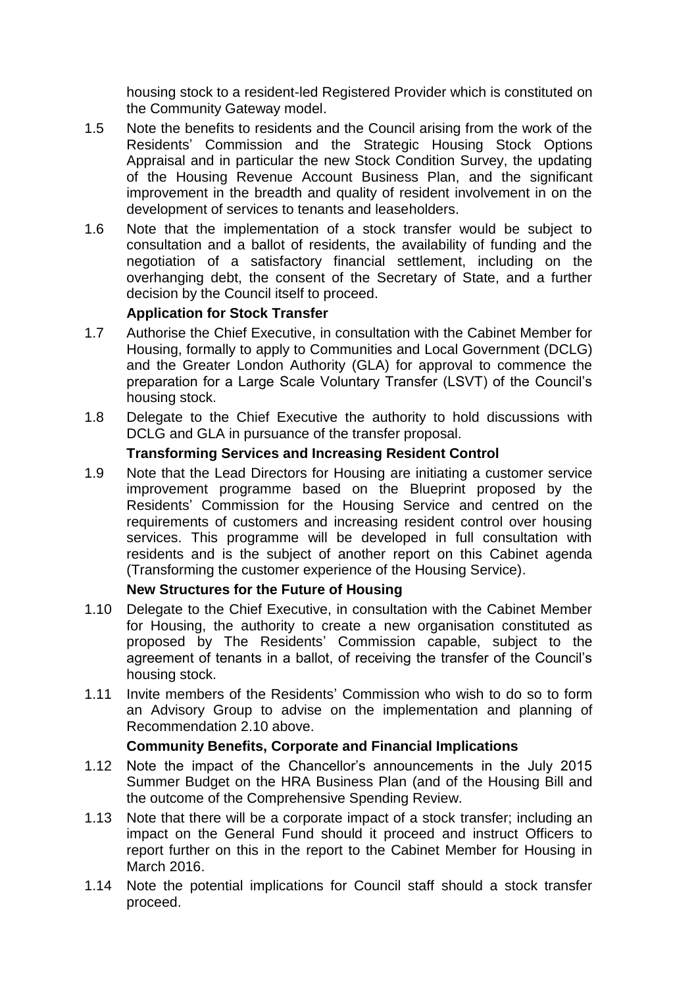housing stock to a resident-led Registered Provider which is constituted on the Community Gateway model.

- 1.5 Note the benefits to residents and the Council arising from the work of the Residents' Commission and the Strategic Housing Stock Options Appraisal and in particular the new Stock Condition Survey, the updating of the Housing Revenue Account Business Plan, and the significant improvement in the breadth and quality of resident involvement in on the development of services to tenants and leaseholders.
- 1.6 Note that the implementation of a stock transfer would be subject to consultation and a ballot of residents, the availability of funding and the negotiation of a satisfactory financial settlement, including on the overhanging debt, the consent of the Secretary of State, and a further decision by the Council itself to proceed.

### **Application for Stock Transfer**

- 1.7 Authorise the Chief Executive, in consultation with the Cabinet Member for Housing, formally to apply to Communities and Local Government (DCLG) and the Greater London Authority (GLA) for approval to commence the preparation for a Large Scale Voluntary Transfer (LSVT) of the Council's housing stock.
- 1.8 Delegate to the Chief Executive the authority to hold discussions with DCLG and GLA in pursuance of the transfer proposal.

### **Transforming Services and Increasing Resident Control**

1.9 Note that the Lead Directors for Housing are initiating a customer service improvement programme based on the Blueprint proposed by the Residents' Commission for the Housing Service and centred on the requirements of customers and increasing resident control over housing services. This programme will be developed in full consultation with residents and is the subject of another report on this Cabinet agenda (Transforming the customer experience of the Housing Service).

#### **New Structures for the Future of Housing**

- 1.10 Delegate to the Chief Executive, in consultation with the Cabinet Member for Housing, the authority to create a new organisation constituted as proposed by The Residents' Commission capable, subject to the agreement of tenants in a ballot, of receiving the transfer of the Council's housing stock.
- 1.11 Invite members of the Residents' Commission who wish to do so to form an Advisory Group to advise on the implementation and planning of Recommendation 2.10 above.

# **Community Benefits, Corporate and Financial Implications**

- 1.12 Note the impact of the Chancellor's announcements in the July 2015 Summer Budget on the HRA Business Plan (and of the Housing Bill and the outcome of the Comprehensive Spending Review.
- 1.13 Note that there will be a corporate impact of a stock transfer; including an impact on the General Fund should it proceed and instruct Officers to report further on this in the report to the Cabinet Member for Housing in March 2016.
- 1.14 Note the potential implications for Council staff should a stock transfer proceed.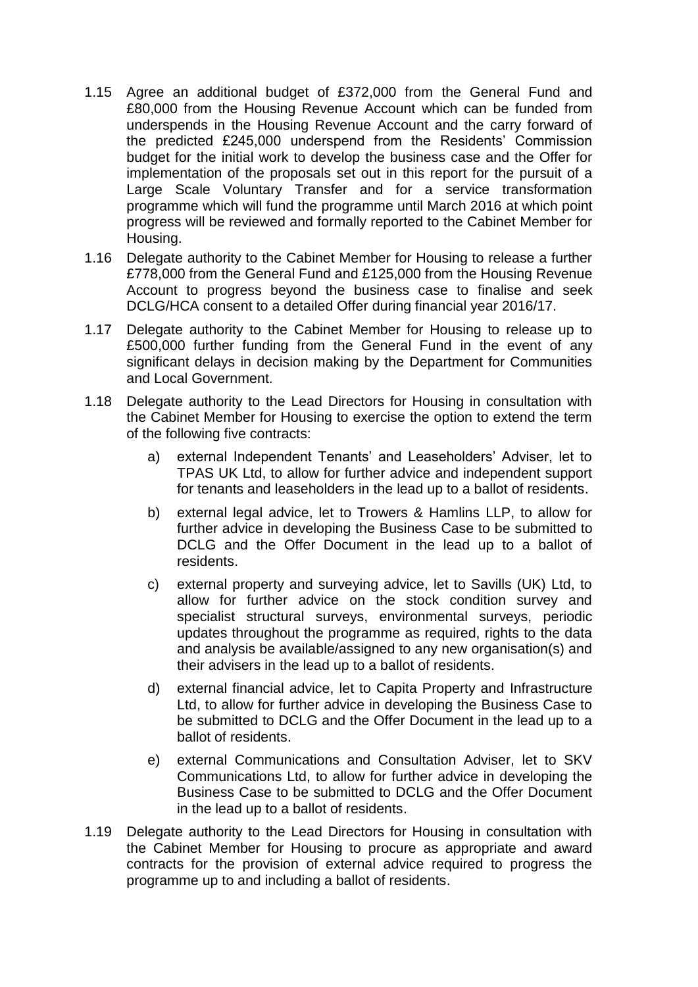- 1.15 Agree an additional budget of £372,000 from the General Fund and £80,000 from the Housing Revenue Account which can be funded from underspends in the Housing Revenue Account and the carry forward of the predicted £245,000 underspend from the Residents' Commission budget for the initial work to develop the business case and the Offer for implementation of the proposals set out in this report for the pursuit of a Large Scale Voluntary Transfer and for a service transformation programme which will fund the programme until March 2016 at which point progress will be reviewed and formally reported to the Cabinet Member for Housing.
- 1.16 Delegate authority to the Cabinet Member for Housing to release a further £778,000 from the General Fund and £125,000 from the Housing Revenue Account to progress beyond the business case to finalise and seek DCLG/HCA consent to a detailed Offer during financial year 2016/17.
- 1.17 Delegate authority to the Cabinet Member for Housing to release up to £500,000 further funding from the General Fund in the event of any significant delays in decision making by the Department for Communities and Local Government.
- 1.18 Delegate authority to the Lead Directors for Housing in consultation with the Cabinet Member for Housing to exercise the option to extend the term of the following five contracts:
	- a) external Independent Tenants' and Leaseholders' Adviser, let to TPAS UK Ltd, to allow for further advice and independent support for tenants and leaseholders in the lead up to a ballot of residents.
	- b) external legal advice, let to Trowers & Hamlins LLP, to allow for further advice in developing the Business Case to be submitted to DCLG and the Offer Document in the lead up to a ballot of residents.
	- c) external property and surveying advice, let to Savills (UK) Ltd, to allow for further advice on the stock condition survey and specialist structural surveys, environmental surveys, periodic updates throughout the programme as required, rights to the data and analysis be available/assigned to any new organisation(s) and their advisers in the lead up to a ballot of residents.
	- d) external financial advice, let to Capita Property and Infrastructure Ltd, to allow for further advice in developing the Business Case to be submitted to DCLG and the Offer Document in the lead up to a ballot of residents.
	- e) external Communications and Consultation Adviser, let to SKV Communications Ltd, to allow for further advice in developing the Business Case to be submitted to DCLG and the Offer Document in the lead up to a ballot of residents.
- 1.19 Delegate authority to the Lead Directors for Housing in consultation with the Cabinet Member for Housing to procure as appropriate and award contracts for the provision of external advice required to progress the programme up to and including a ballot of residents.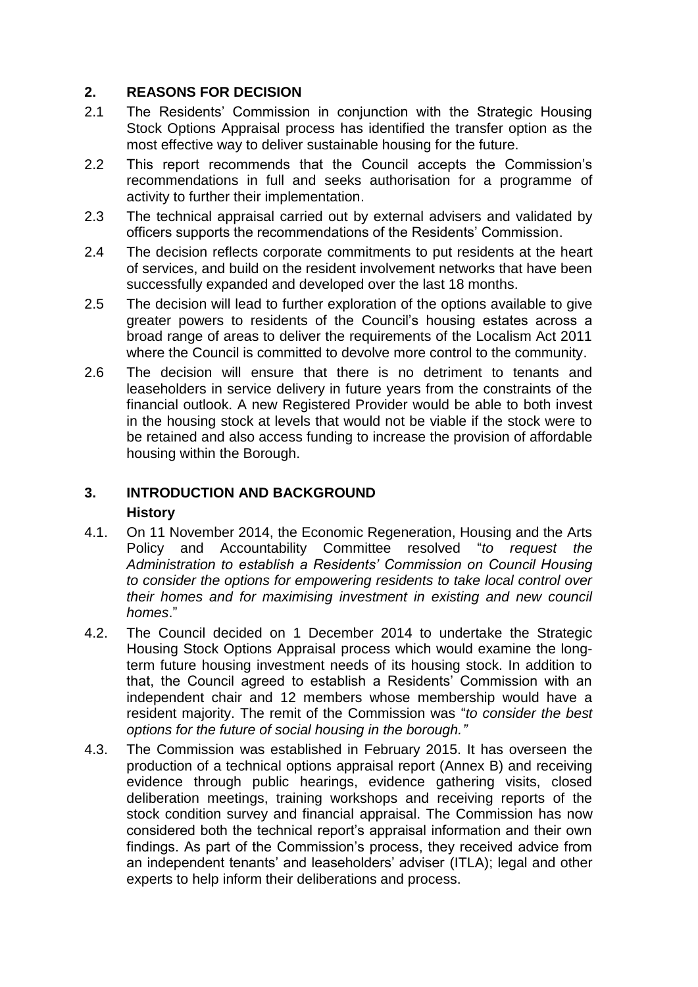### **2. REASONS FOR DECISION**

- 2.1 The Residents' Commission in conjunction with the Strategic Housing Stock Options Appraisal process has identified the transfer option as the most effective way to deliver sustainable housing for the future.
- 2.2 This report recommends that the Council accepts the Commission's recommendations in full and seeks authorisation for a programme of activity to further their implementation.
- 2.3 The technical appraisal carried out by external advisers and validated by officers supports the recommendations of the Residents' Commission.
- 2.4 The decision reflects corporate commitments to put residents at the heart of services, and build on the resident involvement networks that have been successfully expanded and developed over the last 18 months.
- 2.5 The decision will lead to further exploration of the options available to give greater powers to residents of the Council's housing estates across a broad range of areas to deliver the requirements of the Localism Act 2011 where the Council is committed to devolve more control to the community.
- 2.6 The decision will ensure that there is no detriment to tenants and leaseholders in service delivery in future years from the constraints of the financial outlook. A new Registered Provider would be able to both invest in the housing stock at levels that would not be viable if the stock were to be retained and also access funding to increase the provision of affordable housing within the Borough.

### **3. INTRODUCTION AND BACKGROUND History**

- 4.1. On 11 November 2014, the Economic Regeneration, Housing and the Arts Policy and Accountability Committee resolved "*to request the Administration to establish a Residents' Commission on Council Housing to consider the options for empowering residents to take local control over their homes and for maximising investment in existing and new council homes*."
- 4.2. The Council decided on 1 December 2014 to undertake the Strategic Housing Stock Options Appraisal process which would examine the longterm future housing investment needs of its housing stock. In addition to that, the Council agreed to establish a Residents' Commission with an independent chair and 12 members whose membership would have a resident majority. The remit of the Commission was "*to consider the best options for the future of social housing in the borough."*
- 4.3. The Commission was established in February 2015. It has overseen the production of a technical options appraisal report (Annex B) and receiving evidence through public hearings, evidence gathering visits, closed deliberation meetings, training workshops and receiving reports of the stock condition survey and financial appraisal. The Commission has now considered both the technical report's appraisal information and their own findings. As part of the Commission's process, they received advice from an independent tenants' and leaseholders' adviser (ITLA); legal and other experts to help inform their deliberations and process.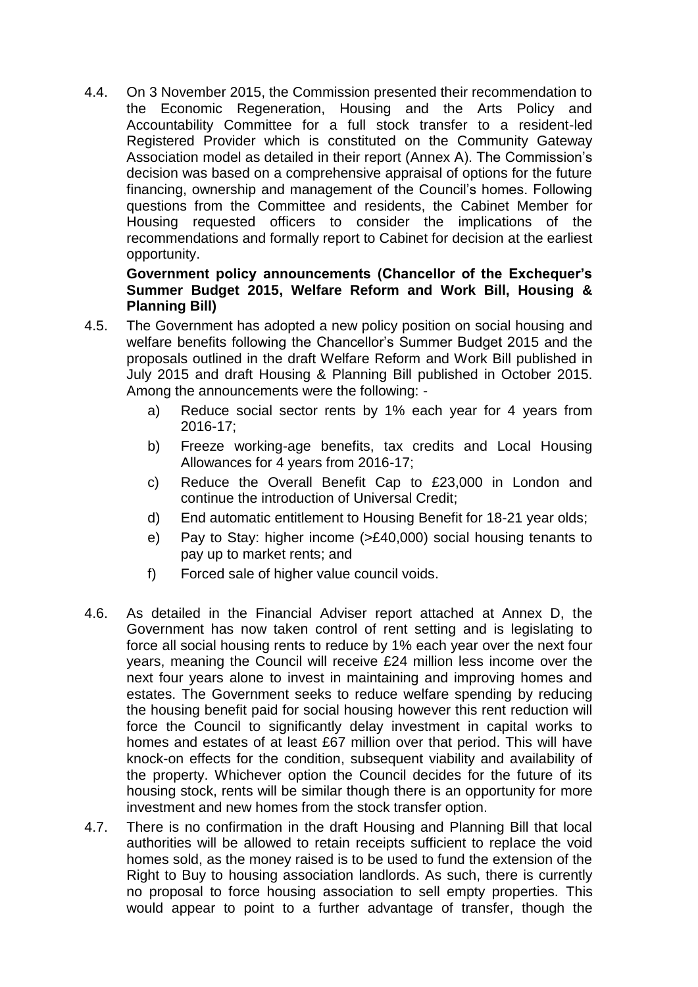4.4. On 3 November 2015, the Commission presented their recommendation to the Economic Regeneration, Housing and the Arts Policy and Accountability Committee for a full stock transfer to a resident-led Registered Provider which is constituted on the Community Gateway Association model as detailed in their report (Annex A). The Commission's decision was based on a comprehensive appraisal of options for the future financing, ownership and management of the Council's homes. Following questions from the Committee and residents, the Cabinet Member for Housing requested officers to consider the implications of the recommendations and formally report to Cabinet for decision at the earliest opportunity.

### **Government policy announcements (Chancellor of the Exchequer's Summer Budget 2015, Welfare Reform and Work Bill, Housing & Planning Bill)**

- 4.5. The Government has adopted a new policy position on social housing and welfare benefits following the Chancellor's Summer Budget 2015 and the proposals outlined in the draft Welfare Reform and Work Bill published in July 2015 and draft Housing & Planning Bill published in October 2015. Among the announcements were the following:
	- a) Reduce social sector rents by 1% each year for 4 years from 2016-17;
	- b) Freeze working-age benefits, tax credits and Local Housing Allowances for 4 years from 2016-17;
	- c) Reduce the Overall Benefit Cap to £23,000 in London and continue the introduction of Universal Credit;
	- d) End automatic entitlement to Housing Benefit for 18-21 year olds;
	- e) Pay to Stay: higher income (>£40,000) social housing tenants to pay up to market rents; and
	- f) Forced sale of higher value council voids.
- 4.6. As detailed in the Financial Adviser report attached at Annex D, the Government has now taken control of rent setting and is legislating to force all social housing rents to reduce by 1% each year over the next four years, meaning the Council will receive £24 million less income over the next four years alone to invest in maintaining and improving homes and estates. The Government seeks to reduce welfare spending by reducing the housing benefit paid for social housing however this rent reduction will force the Council to significantly delay investment in capital works to homes and estates of at least £67 million over that period. This will have knock-on effects for the condition, subsequent viability and availability of the property. Whichever option the Council decides for the future of its housing stock, rents will be similar though there is an opportunity for more investment and new homes from the stock transfer option.
- 4.7. There is no confirmation in the draft Housing and Planning Bill that local authorities will be allowed to retain receipts sufficient to replace the void homes sold, as the money raised is to be used to fund the extension of the Right to Buy to housing association landlords. As such, there is currently no proposal to force housing association to sell empty properties. This would appear to point to a further advantage of transfer, though the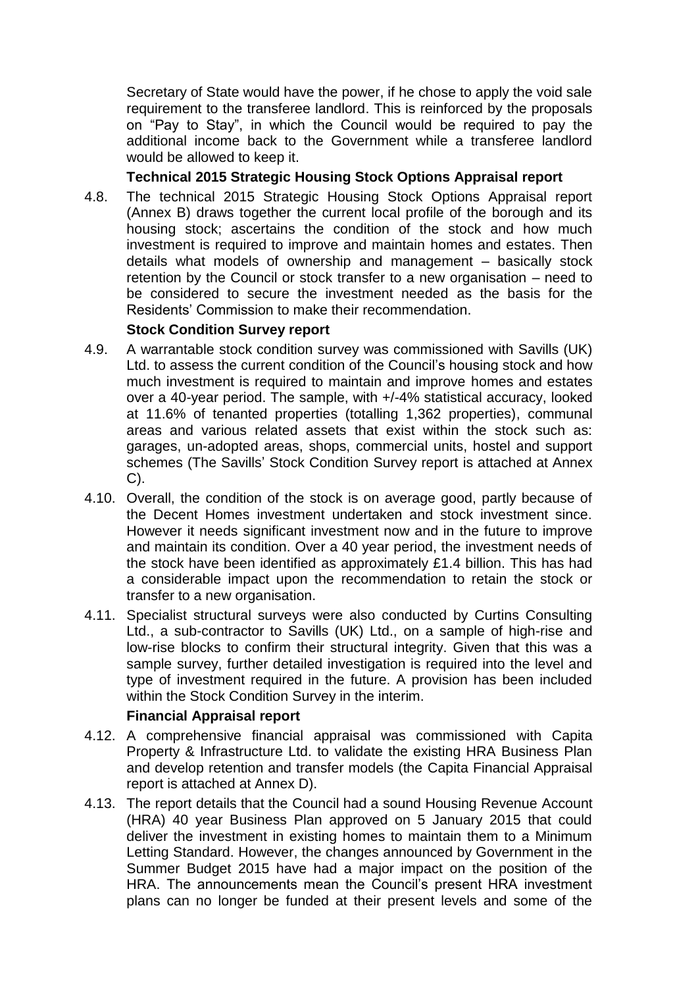Secretary of State would have the power, if he chose to apply the void sale requirement to the transferee landlord. This is reinforced by the proposals on "Pay to Stay", in which the Council would be required to pay the additional income back to the Government while a transferee landlord would be allowed to keep it.

### **Technical 2015 Strategic Housing Stock Options Appraisal report**

4.8. The technical 2015 Strategic Housing Stock Options Appraisal report (Annex B) draws together the current local profile of the borough and its housing stock; ascertains the condition of the stock and how much investment is required to improve and maintain homes and estates. Then details what models of ownership and management – basically stock retention by the Council or stock transfer to a new organisation – need to be considered to secure the investment needed as the basis for the Residents' Commission to make their recommendation.

### **Stock Condition Survey report**

- 4.9. A warrantable stock condition survey was commissioned with Savills (UK) Ltd. to assess the current condition of the Council's housing stock and how much investment is required to maintain and improve homes and estates over a 40-year period. The sample, with +/-4% statistical accuracy, looked at 11.6% of tenanted properties (totalling 1,362 properties), communal areas and various related assets that exist within the stock such as: garages, un-adopted areas, shops, commercial units, hostel and support schemes (The Savills' Stock Condition Survey report is attached at Annex C).
- 4.10. Overall, the condition of the stock is on average good, partly because of the Decent Homes investment undertaken and stock investment since. However it needs significant investment now and in the future to improve and maintain its condition. Over a 40 year period, the investment needs of the stock have been identified as approximately £1.4 billion. This has had a considerable impact upon the recommendation to retain the stock or transfer to a new organisation.
- 4.11. Specialist structural surveys were also conducted by Curtins Consulting Ltd., a sub-contractor to Savills (UK) Ltd., on a sample of high-rise and low-rise blocks to confirm their structural integrity. Given that this was a sample survey, further detailed investigation is required into the level and type of investment required in the future. A provision has been included within the Stock Condition Survey in the interim.

#### **Financial Appraisal report**

- 4.12. A comprehensive financial appraisal was commissioned with Capita Property & Infrastructure Ltd. to validate the existing HRA Business Plan and develop retention and transfer models (the Capita Financial Appraisal report is attached at Annex D).
- 4.13. The report details that the Council had a sound Housing Revenue Account (HRA) 40 year Business Plan approved on 5 January 2015 that could deliver the investment in existing homes to maintain them to a Minimum Letting Standard. However, the changes announced by Government in the Summer Budget 2015 have had a major impact on the position of the HRA. The announcements mean the Council's present HRA investment plans can no longer be funded at their present levels and some of the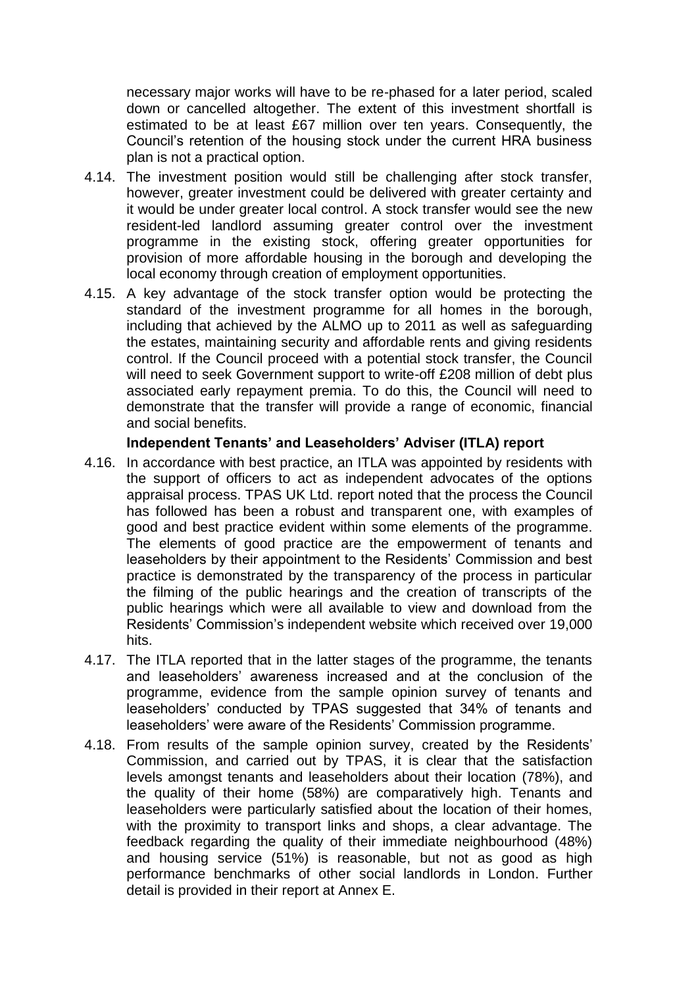necessary major works will have to be re-phased for a later period, scaled down or cancelled altogether. The extent of this investment shortfall is estimated to be at least £67 million over ten years. Consequently, the Council's retention of the housing stock under the current HRA business plan is not a practical option.

- 4.14. The investment position would still be challenging after stock transfer, however, greater investment could be delivered with greater certainty and it would be under greater local control. A stock transfer would see the new resident-led landlord assuming greater control over the investment programme in the existing stock, offering greater opportunities for provision of more affordable housing in the borough and developing the local economy through creation of employment opportunities.
- 4.15. A key advantage of the stock transfer option would be protecting the standard of the investment programme for all homes in the borough, including that achieved by the ALMO up to 2011 as well as safeguarding the estates, maintaining security and affordable rents and giving residents control. If the Council proceed with a potential stock transfer, the Council will need to seek Government support to write-off £208 million of debt plus associated early repayment premia. To do this, the Council will need to demonstrate that the transfer will provide a range of economic, financial and social benefits.

#### **Independent Tenants' and Leaseholders' Adviser (ITLA) report**

- 4.16. In accordance with best practice, an ITLA was appointed by residents with the support of officers to act as independent advocates of the options appraisal process. TPAS UK Ltd. report noted that the process the Council has followed has been a robust and transparent one, with examples of good and best practice evident within some elements of the programme. The elements of good practice are the empowerment of tenants and leaseholders by their appointment to the Residents' Commission and best practice is demonstrated by the transparency of the process in particular the filming of the public hearings and the creation of transcripts of the public hearings which were all available to view and download from the Residents' Commission's independent website which received over 19,000 hits.
- 4.17. The ITLA reported that in the latter stages of the programme, the tenants and leaseholders' awareness increased and at the conclusion of the programme, evidence from the sample opinion survey of tenants and leaseholders' conducted by TPAS suggested that 34% of tenants and leaseholders' were aware of the Residents' Commission programme.
- 4.18. From results of the sample opinion survey, created by the Residents' Commission, and carried out by TPAS, it is clear that the satisfaction levels amongst tenants and leaseholders about their location (78%), and the quality of their home (58%) are comparatively high. Tenants and leaseholders were particularly satisfied about the location of their homes, with the proximity to transport links and shops, a clear advantage. The feedback regarding the quality of their immediate neighbourhood (48%) and housing service (51%) is reasonable, but not as good as high performance benchmarks of other social landlords in London. Further detail is provided in their report at Annex E.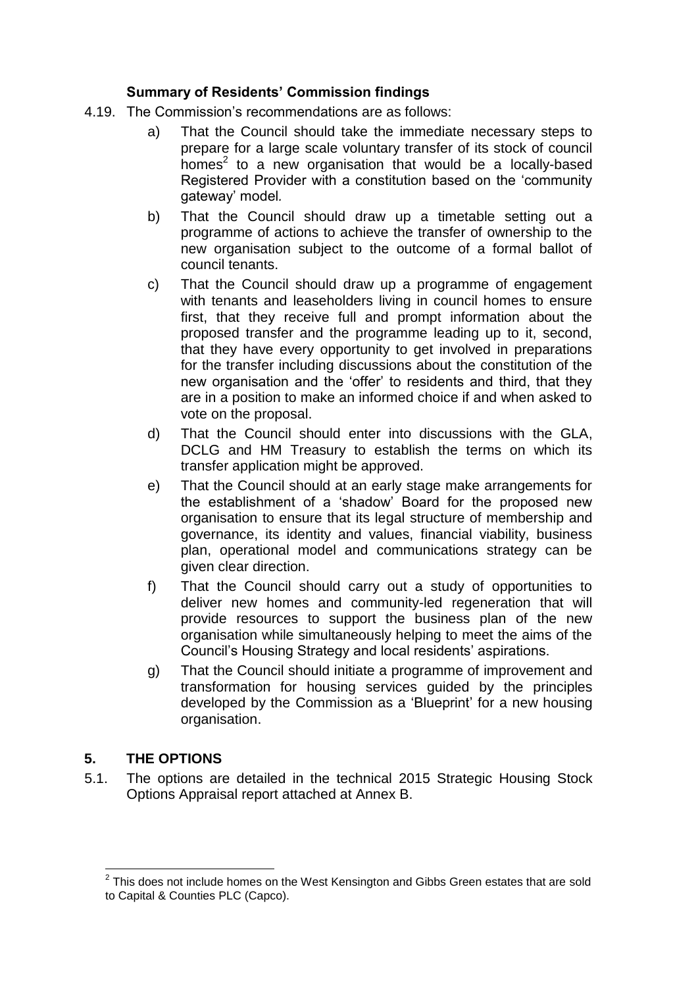### **Summary of Residents' Commission findings**

- 4.19. The Commission's recommendations are as follows:
	- a) That the Council should take the immediate necessary steps to prepare for a large scale voluntary transfer of its stock of council  $h$ omes<sup>2</sup> to a new organisation that would be a locally-based Registered Provider with a constitution based on the 'community gateway' model*.*
	- b) That the Council should draw up a timetable setting out a programme of actions to achieve the transfer of ownership to the new organisation subject to the outcome of a formal ballot of council tenants.
	- c) That the Council should draw up a programme of engagement with tenants and leaseholders living in council homes to ensure first, that they receive full and prompt information about the proposed transfer and the programme leading up to it, second, that they have every opportunity to get involved in preparations for the transfer including discussions about the constitution of the new organisation and the 'offer' to residents and third, that they are in a position to make an informed choice if and when asked to vote on the proposal.
	- d) That the Council should enter into discussions with the GLA, DCLG and HM Treasury to establish the terms on which its transfer application might be approved.
	- e) That the Council should at an early stage make arrangements for the establishment of a 'shadow' Board for the proposed new organisation to ensure that its legal structure of membership and governance, its identity and values, financial viability, business plan, operational model and communications strategy can be given clear direction.
	- f) That the Council should carry out a study of opportunities to deliver new homes and community-led regeneration that will provide resources to support the business plan of the new organisation while simultaneously helping to meet the aims of the Council's Housing Strategy and local residents' aspirations.
	- g) That the Council should initiate a programme of improvement and transformation for housing services guided by the principles developed by the Commission as a 'Blueprint' for a new housing organisation.

# **5. THE OPTIONS**

5.1. The options are detailed in the technical 2015 Strategic Housing Stock Options Appraisal report attached at Annex B.

l  $2$  This does not include homes on the West Kensington and Gibbs Green estates that are sold to Capital & Counties PLC (Capco).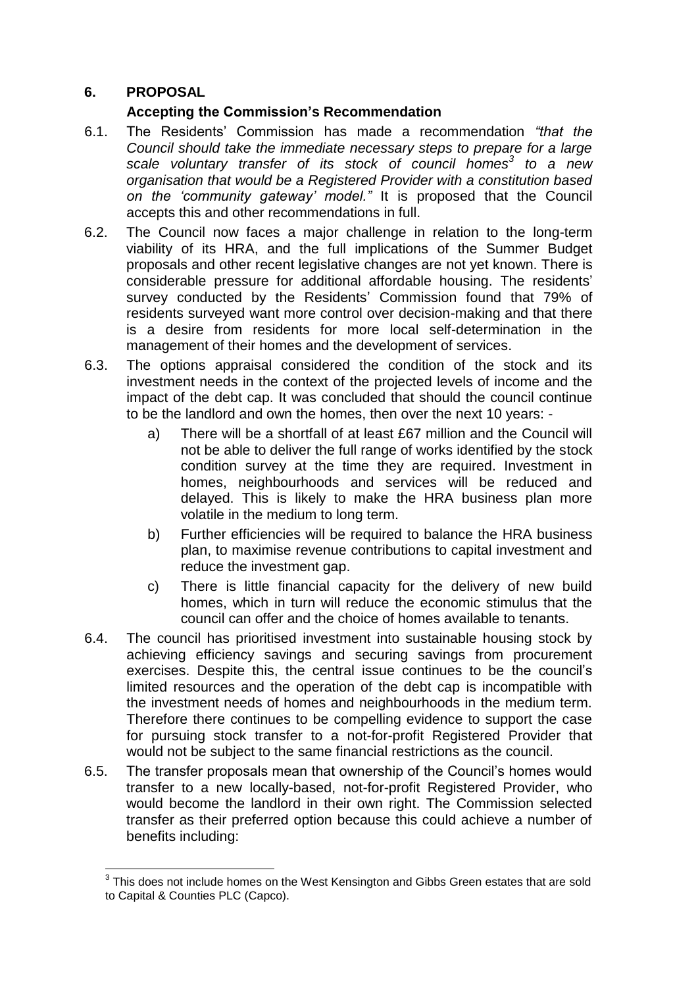### **6. PROPOSAL**

l

### **Accepting the Commission's Recommendation**

- 6.1. The Residents' Commission has made a recommendation *"that the Council should take the immediate necessary steps to prepare for a large scale voluntary transfer of its stock of council homes<sup>3</sup> to a new organisation that would be a Registered Provider with a constitution based on the 'community gateway' model."* It is proposed that the Council accepts this and other recommendations in full.
- 6.2. The Council now faces a major challenge in relation to the long-term viability of its HRA, and the full implications of the Summer Budget proposals and other recent legislative changes are not yet known. There is considerable pressure for additional affordable housing. The residents' survey conducted by the Residents' Commission found that 79% of residents surveyed want more control over decision-making and that there is a desire from residents for more local self-determination in the management of their homes and the development of services.
- 6.3. The options appraisal considered the condition of the stock and its investment needs in the context of the projected levels of income and the impact of the debt cap. It was concluded that should the council continue to be the landlord and own the homes, then over the next 10 years:
	- a) There will be a shortfall of at least £67 million and the Council will not be able to deliver the full range of works identified by the stock condition survey at the time they are required. Investment in homes, neighbourhoods and services will be reduced and delayed. This is likely to make the HRA business plan more volatile in the medium to long term.
	- b) Further efficiencies will be required to balance the HRA business plan, to maximise revenue contributions to capital investment and reduce the investment gap.
	- c) There is little financial capacity for the delivery of new build homes, which in turn will reduce the economic stimulus that the council can offer and the choice of homes available to tenants.
- 6.4. The council has prioritised investment into sustainable housing stock by achieving efficiency savings and securing savings from procurement exercises. Despite this, the central issue continues to be the council's limited resources and the operation of the debt cap is incompatible with the investment needs of homes and neighbourhoods in the medium term. Therefore there continues to be compelling evidence to support the case for pursuing stock transfer to a not-for-profit Registered Provider that would not be subject to the same financial restrictions as the council.
- 6.5. The transfer proposals mean that ownership of the Council's homes would transfer to a new locally-based, not-for-profit Registered Provider, who would become the landlord in their own right. The Commission selected transfer as their preferred option because this could achieve a number of benefits including:

 $3$  This does not include homes on the West Kensington and Gibbs Green estates that are sold to Capital & Counties PLC (Capco).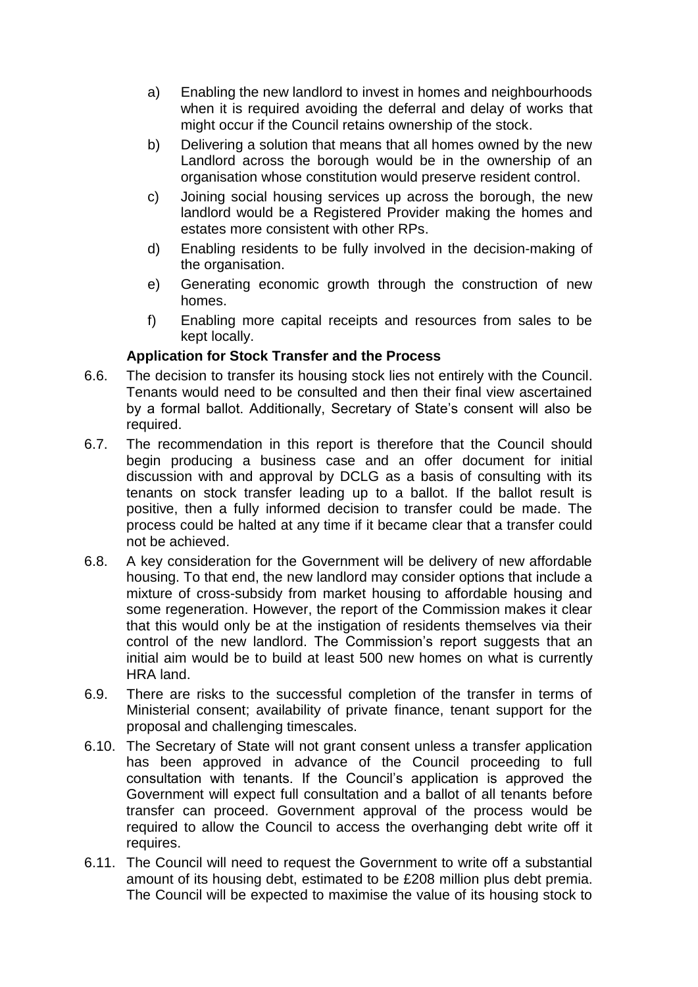- a) Enabling the new landlord to invest in homes and neighbourhoods when it is required avoiding the deferral and delay of works that might occur if the Council retains ownership of the stock.
- b) Delivering a solution that means that all homes owned by the new Landlord across the borough would be in the ownership of an organisation whose constitution would preserve resident control.
- c) Joining social housing services up across the borough, the new landlord would be a Registered Provider making the homes and estates more consistent with other RPs.
- d) Enabling residents to be fully involved in the decision-making of the organisation.
- e) Generating economic growth through the construction of new homes.
- f) Enabling more capital receipts and resources from sales to be kept locally.

# **Application for Stock Transfer and the Process**

- 6.6. The decision to transfer its housing stock lies not entirely with the Council. Tenants would need to be consulted and then their final view ascertained by a formal ballot. Additionally, Secretary of State's consent will also be required.
- 6.7. The recommendation in this report is therefore that the Council should begin producing a business case and an offer document for initial discussion with and approval by DCLG as a basis of consulting with its tenants on stock transfer leading up to a ballot. If the ballot result is positive, then a fully informed decision to transfer could be made. The process could be halted at any time if it became clear that a transfer could not be achieved.
- 6.8. A key consideration for the Government will be delivery of new affordable housing. To that end, the new landlord may consider options that include a mixture of cross-subsidy from market housing to affordable housing and some regeneration. However, the report of the Commission makes it clear that this would only be at the instigation of residents themselves via their control of the new landlord. The Commission's report suggests that an initial aim would be to build at least 500 new homes on what is currently HRA land.
- 6.9. There are risks to the successful completion of the transfer in terms of Ministerial consent; availability of private finance, tenant support for the proposal and challenging timescales.
- 6.10. The Secretary of State will not grant consent unless a transfer application has been approved in advance of the Council proceeding to full consultation with tenants. If the Council's application is approved the Government will expect full consultation and a ballot of all tenants before transfer can proceed. Government approval of the process would be required to allow the Council to access the overhanging debt write off it requires.
- 6.11. The Council will need to request the Government to write off a substantial amount of its housing debt, estimated to be £208 million plus debt premia. The Council will be expected to maximise the value of its housing stock to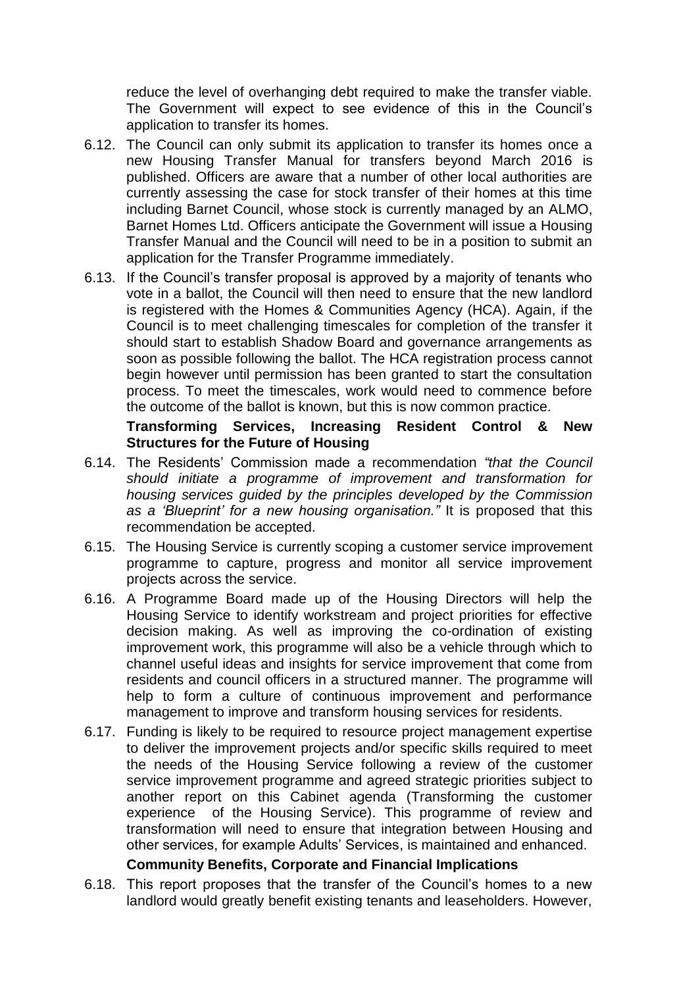reduce the level of overhanging debt required to make the transfer viable. The Government will expect to see evidence of this in the Council's application to transfer its homes.

- 6.12. The Council can only submit its application to transfer its homes once a new Housing Transfer Manual for transfers beyond March 2016 is published. Officers are aware that a number of other local authorities are currently assessing the case for stock transfer of their homes at this time including Barnet Council, whose stock is currently managed by an ALMO, Barnet Homes Ltd. Officers anticipate the Government will issue a Housing Transfer Manual and the Council will need to be in a position to submit an application for the Transfer Programme immediately.
- 6.13. If the Council's transfer proposal is approved by a majority of tenants who vote in a ballot, the Council will then need to ensure that the new landlord is registered with the Homes & Communities Agency (HCA). Again, if the Council is to meet challenging timescales for completion of the transfer it should start to establish Shadow Board and governance arrangements as soon as possible following the ballot. The HCA registration process cannot begin however until permission has been granted to start the consultation process. To meet the timescales, work would need to commence before the outcome of the ballot is known, but this is now common practice.

#### **Transforming Services, Increasing Resident Control & New Structures for the Future of Housing**

- 6.14. The Residents' Commission made a recommendation *"that the Council should initiate a programme of improvement and transformation for housing services guided by the principles developed by the Commission as a 'Blueprint' for a new housing organisation."* It is proposed that this recommendation be accepted.
- 6.15. The Housing Service is currently scoping a customer service improvement programme to capture, progress and monitor all service improvement projects across the service.
- 6.16. A Programme Board made up of the Housing Directors will help the Housing Service to identify workstream and project priorities for effective decision making. As well as improving the co-ordination of existing improvement work, this programme will also be a vehicle through which to channel useful ideas and insights for service improvement that come from residents and council officers in a structured manner. The programme will help to form a culture of continuous improvement and performance management to improve and transform housing services for residents.
- 6.17. Funding is likely to be required to resource project management expertise to deliver the improvement projects and/or specific skills required to meet the needs of the Housing Service following a review of the customer service improvement programme and agreed strategic priorities subject to another report on this Cabinet agenda (Transforming the customer experience of the Housing Service). This programme of review and transformation will need to ensure that integration between Housing and other services, for example Adults' Services, is maintained and enhanced.

#### **Community Benefits, Corporate and Financial Implications**

6.18. This report proposes that the transfer of the Council's homes to a new landlord would greatly benefit existing tenants and leaseholders. However,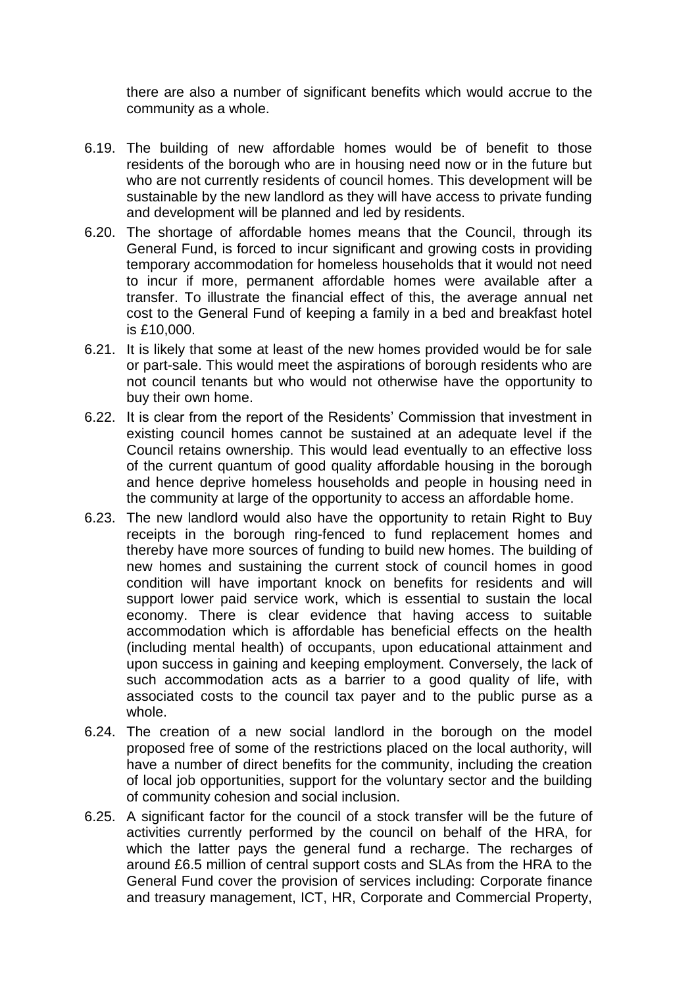there are also a number of significant benefits which would accrue to the community as a whole.

- 6.19. The building of new affordable homes would be of benefit to those residents of the borough who are in housing need now or in the future but who are not currently residents of council homes. This development will be sustainable by the new landlord as they will have access to private funding and development will be planned and led by residents.
- 6.20. The shortage of affordable homes means that the Council, through its General Fund, is forced to incur significant and growing costs in providing temporary accommodation for homeless households that it would not need to incur if more, permanent affordable homes were available after a transfer. To illustrate the financial effect of this, the average annual net cost to the General Fund of keeping a family in a bed and breakfast hotel is £10,000.
- 6.21. It is likely that some at least of the new homes provided would be for sale or part-sale. This would meet the aspirations of borough residents who are not council tenants but who would not otherwise have the opportunity to buy their own home.
- 6.22. It is clear from the report of the Residents' Commission that investment in existing council homes cannot be sustained at an adequate level if the Council retains ownership. This would lead eventually to an effective loss of the current quantum of good quality affordable housing in the borough and hence deprive homeless households and people in housing need in the community at large of the opportunity to access an affordable home.
- 6.23. The new landlord would also have the opportunity to retain Right to Buy receipts in the borough ring-fenced to fund replacement homes and thereby have more sources of funding to build new homes. The building of new homes and sustaining the current stock of council homes in good condition will have important knock on benefits for residents and will support lower paid service work, which is essential to sustain the local economy. There is clear evidence that having access to suitable accommodation which is affordable has beneficial effects on the health (including mental health) of occupants, upon educational attainment and upon success in gaining and keeping employment. Conversely, the lack of such accommodation acts as a barrier to a good quality of life, with associated costs to the council tax payer and to the public purse as a whole.
- 6.24. The creation of a new social landlord in the borough on the model proposed free of some of the restrictions placed on the local authority, will have a number of direct benefits for the community, including the creation of local job opportunities, support for the voluntary sector and the building of community cohesion and social inclusion.
- 6.25. A significant factor for the council of a stock transfer will be the future of activities currently performed by the council on behalf of the HRA, for which the latter pays the general fund a recharge. The recharges of around £6.5 million of central support costs and SLAs from the HRA to the General Fund cover the provision of services including: Corporate finance and treasury management, ICT, HR, Corporate and Commercial Property,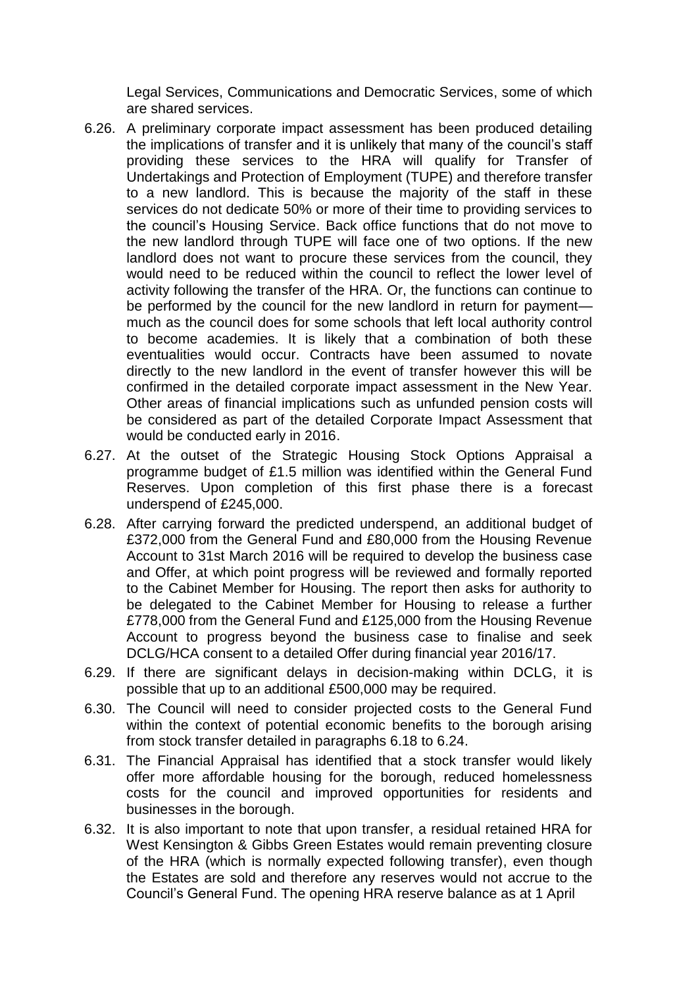Legal Services, Communications and Democratic Services, some of which are shared services.

- 6.26. A preliminary corporate impact assessment has been produced detailing the implications of transfer and it is unlikely that many of the council's staff providing these services to the HRA will qualify for Transfer of Undertakings and Protection of Employment (TUPE) and therefore transfer to a new landlord. This is because the majority of the staff in these services do not dedicate 50% or more of their time to providing services to the council's Housing Service. Back office functions that do not move to the new landlord through TUPE will face one of two options. If the new landlord does not want to procure these services from the council, they would need to be reduced within the council to reflect the lower level of activity following the transfer of the HRA. Or, the functions can continue to be performed by the council for the new landlord in return for payment much as the council does for some schools that left local authority control to become academies. It is likely that a combination of both these eventualities would occur. Contracts have been assumed to novate directly to the new landlord in the event of transfer however this will be confirmed in the detailed corporate impact assessment in the New Year. Other areas of financial implications such as unfunded pension costs will be considered as part of the detailed Corporate Impact Assessment that would be conducted early in 2016.
- 6.27. At the outset of the Strategic Housing Stock Options Appraisal a programme budget of £1.5 million was identified within the General Fund Reserves. Upon completion of this first phase there is a forecast underspend of £245,000.
- 6.28. After carrying forward the predicted underspend, an additional budget of £372,000 from the General Fund and £80,000 from the Housing Revenue Account to 31st March 2016 will be required to develop the business case and Offer, at which point progress will be reviewed and formally reported to the Cabinet Member for Housing. The report then asks for authority to be delegated to the Cabinet Member for Housing to release a further £778,000 from the General Fund and £125,000 from the Housing Revenue Account to progress beyond the business case to finalise and seek DCLG/HCA consent to a detailed Offer during financial year 2016/17.
- 6.29. If there are significant delays in decision-making within DCLG, it is possible that up to an additional £500,000 may be required.
- 6.30. The Council will need to consider projected costs to the General Fund within the context of potential economic benefits to the borough arising from stock transfer detailed in paragraphs 6.18 to 6.24.
- 6.31. The Financial Appraisal has identified that a stock transfer would likely offer more affordable housing for the borough, reduced homelessness costs for the council and improved opportunities for residents and businesses in the borough.
- 6.32. It is also important to note that upon transfer, a residual retained HRA for West Kensington & Gibbs Green Estates would remain preventing closure of the HRA (which is normally expected following transfer), even though the Estates are sold and therefore any reserves would not accrue to the Council's General Fund. The opening HRA reserve balance as at 1 April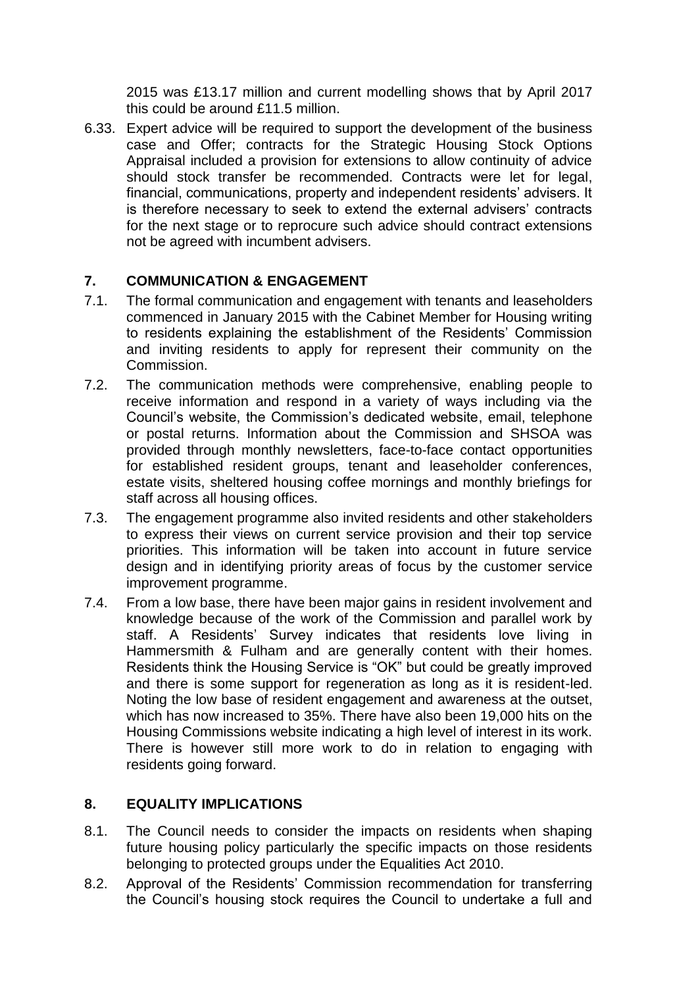2015 was £13.17 million and current modelling shows that by April 2017 this could be around £11.5 million.

6.33. Expert advice will be required to support the development of the business case and Offer; contracts for the Strategic Housing Stock Options Appraisal included a provision for extensions to allow continuity of advice should stock transfer be recommended. Contracts were let for legal, financial, communications, property and independent residents' advisers. It is therefore necessary to seek to extend the external advisers' contracts for the next stage or to reprocure such advice should contract extensions not be agreed with incumbent advisers.

# **7. COMMUNICATION & ENGAGEMENT**

- 7.1. The formal communication and engagement with tenants and leaseholders commenced in January 2015 with the Cabinet Member for Housing writing to residents explaining the establishment of the Residents' Commission and inviting residents to apply for represent their community on the Commission.
- 7.2. The communication methods were comprehensive, enabling people to receive information and respond in a variety of ways including via the Council's website, the Commission's dedicated website, email, telephone or postal returns. Information about the Commission and SHSOA was provided through monthly newsletters, face-to-face contact opportunities for established resident groups, tenant and leaseholder conferences, estate visits, sheltered housing coffee mornings and monthly briefings for staff across all housing offices.
- 7.3. The engagement programme also invited residents and other stakeholders to express their views on current service provision and their top service priorities. This information will be taken into account in future service design and in identifying priority areas of focus by the customer service improvement programme.
- 7.4. From a low base, there have been major gains in resident involvement and knowledge because of the work of the Commission and parallel work by staff. A Residents' Survey indicates that residents love living in Hammersmith & Fulham and are generally content with their homes. Residents think the Housing Service is "OK" but could be greatly improved and there is some support for regeneration as long as it is resident-led. Noting the low base of resident engagement and awareness at the outset, which has now increased to 35%. There have also been 19,000 hits on the Housing Commissions website indicating a high level of interest in its work. There is however still more work to do in relation to engaging with residents going forward.

#### **8. EQUALITY IMPLICATIONS**

- 8.1. The Council needs to consider the impacts on residents when shaping future housing policy particularly the specific impacts on those residents belonging to protected groups under the Equalities Act 2010.
- 8.2. Approval of the Residents' Commission recommendation for transferring the Council's housing stock requires the Council to undertake a full and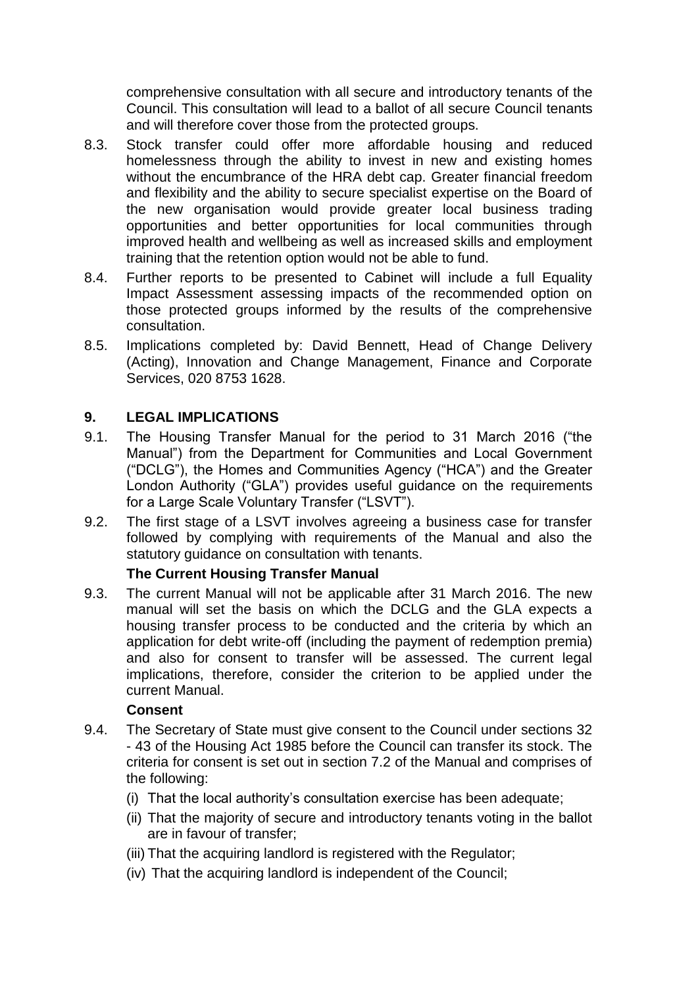comprehensive consultation with all secure and introductory tenants of the Council. This consultation will lead to a ballot of all secure Council tenants and will therefore cover those from the protected groups.

- 8.3. Stock transfer could offer more affordable housing and reduced homelessness through the ability to invest in new and existing homes without the encumbrance of the HRA debt cap. Greater financial freedom and flexibility and the ability to secure specialist expertise on the Board of the new organisation would provide greater local business trading opportunities and better opportunities for local communities through improved health and wellbeing as well as increased skills and employment training that the retention option would not be able to fund.
- 8.4. Further reports to be presented to Cabinet will include a full Equality Impact Assessment assessing impacts of the recommended option on those protected groups informed by the results of the comprehensive consultation.
- 8.5. Implications completed by: David Bennett, Head of Change Delivery (Acting), Innovation and Change Management, Finance and Corporate Services, 020 8753 1628.

# **9. LEGAL IMPLICATIONS**

- 9.1. The Housing Transfer Manual for the period to 31 March 2016 ("the Manual") from the Department for Communities and Local Government ("DCLG"), the Homes and Communities Agency ("HCA") and the Greater London Authority ("GLA") provides useful guidance on the requirements for a Large Scale Voluntary Transfer ("LSVT").
- 9.2. The first stage of a LSVT involves agreeing a business case for transfer followed by complying with requirements of the Manual and also the statutory guidance on consultation with tenants.

#### **The Current Housing Transfer Manual**

9.3. The current Manual will not be applicable after 31 March 2016. The new manual will set the basis on which the DCLG and the GLA expects a housing transfer process to be conducted and the criteria by which an application for debt write-off (including the payment of redemption premia) and also for consent to transfer will be assessed. The current legal implications, therefore, consider the criterion to be applied under the current Manual.

#### **Consent**

- 9.4. The Secretary of State must give consent to the Council under sections 32 - 43 of the Housing Act 1985 before the Council can transfer its stock. The criteria for consent is set out in section 7.2 of the Manual and comprises of the following:
	- (i) That the local authority's consultation exercise has been adequate;
	- (ii) That the majority of secure and introductory tenants voting in the ballot are in favour of transfer;
	- (iii) That the acquiring landlord is registered with the Regulator;
	- (iv) That the acquiring landlord is independent of the Council;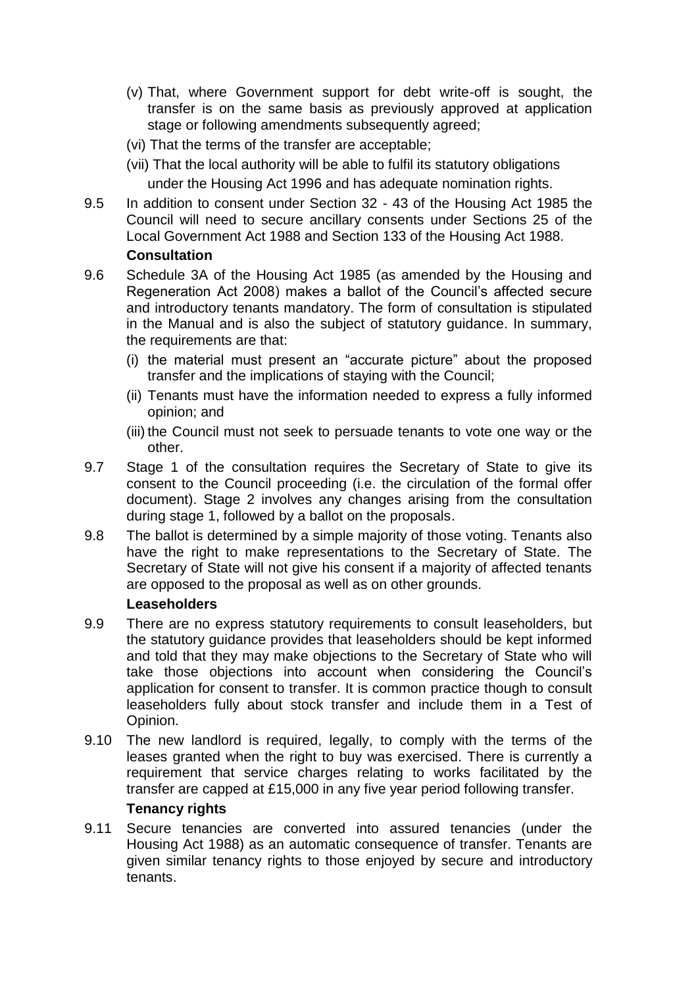- (v) That, where Government support for debt write-off is sought, the transfer is on the same basis as previously approved at application stage or following amendments subsequently agreed;
- (vi) That the terms of the transfer are acceptable;
- (vii) That the local authority will be able to fulfil its statutory obligations under the Housing Act 1996 and has adequate nomination rights.
- 9.5 In addition to consent under Section 32 43 of the Housing Act 1985 the Council will need to secure ancillary consents under Sections 25 of the Local Government Act 1988 and Section 133 of the Housing Act 1988.

### **Consultation**

- 9.6 Schedule 3A of the Housing Act 1985 (as amended by the Housing and Regeneration Act 2008) makes a ballot of the Council's affected secure and introductory tenants mandatory. The form of consultation is stipulated in the Manual and is also the subject of statutory guidance. In summary, the requirements are that:
	- (i) the material must present an "accurate picture" about the proposed transfer and the implications of staying with the Council;
	- (ii) Tenants must have the information needed to express a fully informed opinion; and
	- (iii) the Council must not seek to persuade tenants to vote one way or the other.
- 9.7 Stage 1 of the consultation requires the Secretary of State to give its consent to the Council proceeding (i.e. the circulation of the formal offer document). Stage 2 involves any changes arising from the consultation during stage 1, followed by a ballot on the proposals.
- 9.8 The ballot is determined by a simple majority of those voting. Tenants also have the right to make representations to the Secretary of State. The Secretary of State will not give his consent if a majority of affected tenants are opposed to the proposal as well as on other grounds.

#### **Leaseholders**

- 9.9 There are no express statutory requirements to consult leaseholders, but the statutory guidance provides that leaseholders should be kept informed and told that they may make objections to the Secretary of State who will take those objections into account when considering the Council's application for consent to transfer. It is common practice though to consult leaseholders fully about stock transfer and include them in a Test of Opinion.
- 9.10 The new landlord is required, legally, to comply with the terms of the leases granted when the right to buy was exercised. There is currently a requirement that service charges relating to works facilitated by the transfer are capped at £15,000 in any five year period following transfer.

# **Tenancy rights**

9.11 Secure tenancies are converted into assured tenancies (under the Housing Act 1988) as an automatic consequence of transfer. Tenants are given similar tenancy rights to those enjoyed by secure and introductory tenants.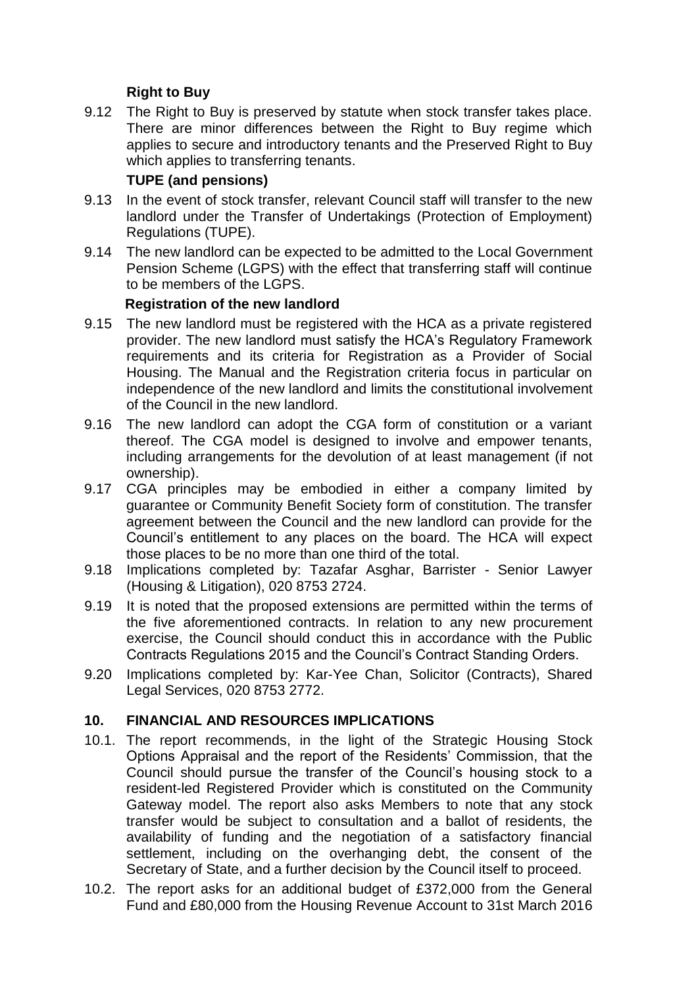# **Right to Buy**

9.12 The Right to Buy is preserved by statute when stock transfer takes place. There are minor differences between the Right to Buy regime which applies to secure and introductory tenants and the Preserved Right to Buy which applies to transferring tenants.

### **TUPE (and pensions)**

- 9.13 In the event of stock transfer, relevant Council staff will transfer to the new landlord under the Transfer of Undertakings (Protection of Employment) Regulations (TUPE).
- 9.14 The new landlord can be expected to be admitted to the Local Government Pension Scheme (LGPS) with the effect that transferring staff will continue to be members of the LGPS.

### **Registration of the new landlord**

- 9.15 The new landlord must be registered with the HCA as a private registered provider. The new landlord must satisfy the HCA's Regulatory Framework requirements and its criteria for Registration as a Provider of Social Housing. The Manual and the Registration criteria focus in particular on independence of the new landlord and limits the constitutional involvement of the Council in the new landlord.
- 9.16 The new landlord can adopt the CGA form of constitution or a variant thereof. The CGA model is designed to involve and empower tenants, including arrangements for the devolution of at least management (if not ownership).
- 9.17 CGA principles may be embodied in either a company limited by guarantee or Community Benefit Society form of constitution. The transfer agreement between the Council and the new landlord can provide for the Council's entitlement to any places on the board. The HCA will expect those places to be no more than one third of the total.
- 9.18 Implications completed by: Tazafar Asghar, Barrister Senior Lawyer (Housing & Litigation), 020 8753 2724.
- 9.19 It is noted that the proposed extensions are permitted within the terms of the five aforementioned contracts. In relation to any new procurement exercise, the Council should conduct this in accordance with the Public Contracts Regulations 2015 and the Council's Contract Standing Orders.
- 9.20 Implications completed by: Kar-Yee Chan, Solicitor (Contracts), Shared Legal Services, 020 8753 2772.

# **10. FINANCIAL AND RESOURCES IMPLICATIONS**

- 10.1. The report recommends, in the light of the Strategic Housing Stock Options Appraisal and the report of the Residents' Commission, that the Council should pursue the transfer of the Council's housing stock to a resident-led Registered Provider which is constituted on the Community Gateway model. The report also asks Members to note that any stock transfer would be subject to consultation and a ballot of residents, the availability of funding and the negotiation of a satisfactory financial settlement, including on the overhanging debt, the consent of the Secretary of State, and a further decision by the Council itself to proceed.
- 10.2. The report asks for an additional budget of £372,000 from the General Fund and £80,000 from the Housing Revenue Account to 31st March 2016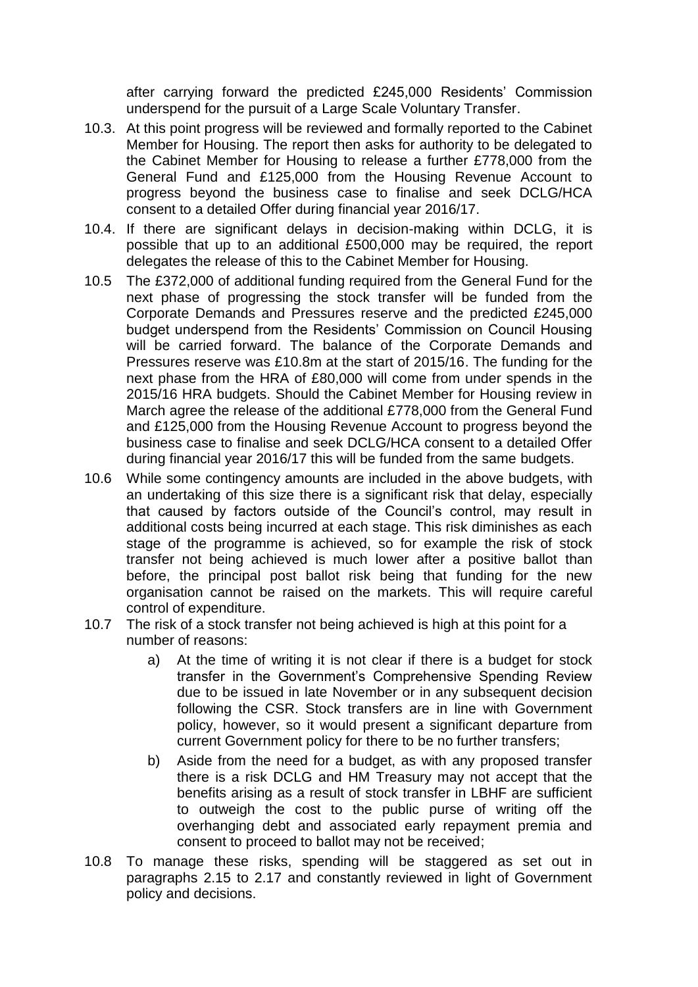after carrying forward the predicted £245,000 Residents' Commission underspend for the pursuit of a Large Scale Voluntary Transfer.

- 10.3. At this point progress will be reviewed and formally reported to the Cabinet Member for Housing. The report then asks for authority to be delegated to the Cabinet Member for Housing to release a further £778,000 from the General Fund and £125,000 from the Housing Revenue Account to progress beyond the business case to finalise and seek DCLG/HCA consent to a detailed Offer during financial year 2016/17.
- 10.4. If there are significant delays in decision-making within DCLG, it is possible that up to an additional £500,000 may be required, the report delegates the release of this to the Cabinet Member for Housing.
- 10.5 The £372,000 of additional funding required from the General Fund for the next phase of progressing the stock transfer will be funded from the Corporate Demands and Pressures reserve and the predicted £245,000 budget underspend from the Residents' Commission on Council Housing will be carried forward. The balance of the Corporate Demands and Pressures reserve was £10.8m at the start of 2015/16. The funding for the next phase from the HRA of £80,000 will come from under spends in the 2015/16 HRA budgets. Should the Cabinet Member for Housing review in March agree the release of the additional £778,000 from the General Fund and £125,000 from the Housing Revenue Account to progress beyond the business case to finalise and seek DCLG/HCA consent to a detailed Offer during financial year 2016/17 this will be funded from the same budgets.
- 10.6 While some contingency amounts are included in the above budgets, with an undertaking of this size there is a significant risk that delay, especially that caused by factors outside of the Council's control, may result in additional costs being incurred at each stage. This risk diminishes as each stage of the programme is achieved, so for example the risk of stock transfer not being achieved is much lower after a positive ballot than before, the principal post ballot risk being that funding for the new organisation cannot be raised on the markets. This will require careful control of expenditure.
- 10.7 The risk of a stock transfer not being achieved is high at this point for a number of reasons:
	- a) At the time of writing it is not clear if there is a budget for stock transfer in the Government's Comprehensive Spending Review due to be issued in late November or in any subsequent decision following the CSR. Stock transfers are in line with Government policy, however, so it would present a significant departure from current Government policy for there to be no further transfers;
	- b) Aside from the need for a budget, as with any proposed transfer there is a risk DCLG and HM Treasury may not accept that the benefits arising as a result of stock transfer in LBHF are sufficient to outweigh the cost to the public purse of writing off the overhanging debt and associated early repayment premia and consent to proceed to ballot may not be received;
- 10.8 To manage these risks, spending will be staggered as set out in paragraphs 2.15 to 2.17 and constantly reviewed in light of Government policy and decisions.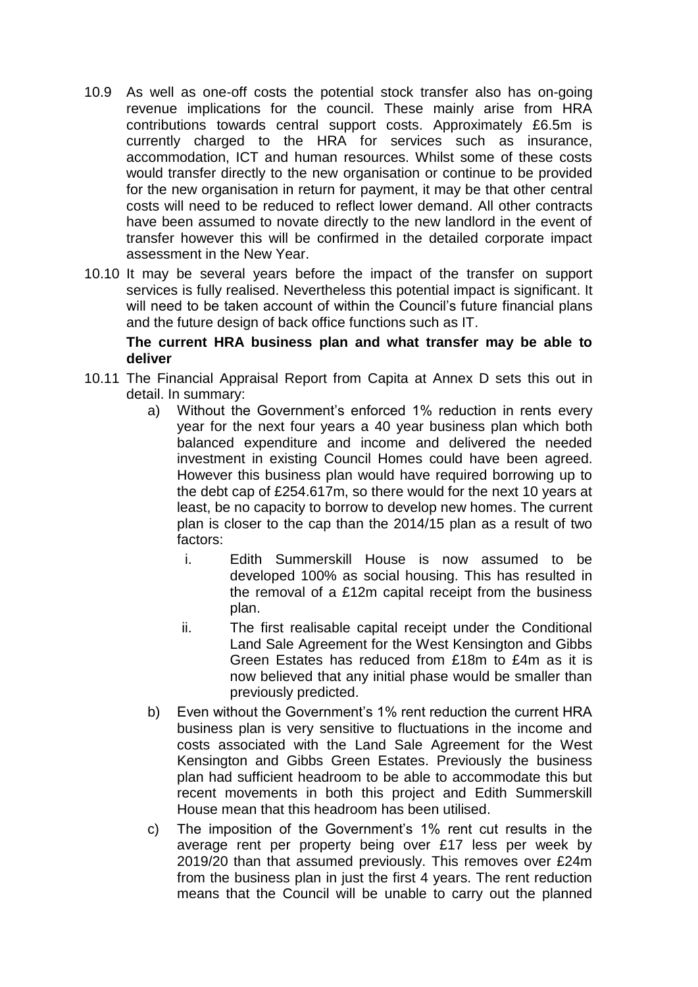- 10.9 As well as one-off costs the potential stock transfer also has on-going revenue implications for the council. These mainly arise from HRA contributions towards central support costs. Approximately £6.5m is currently charged to the HRA for services such as insurance, accommodation, ICT and human resources. Whilst some of these costs would transfer directly to the new organisation or continue to be provided for the new organisation in return for payment, it may be that other central costs will need to be reduced to reflect lower demand. All other contracts have been assumed to novate directly to the new landlord in the event of transfer however this will be confirmed in the detailed corporate impact assessment in the New Year.
- 10.10 It may be several years before the impact of the transfer on support services is fully realised. Nevertheless this potential impact is significant. It will need to be taken account of within the Council's future financial plans and the future design of back office functions such as IT.

### **The current HRA business plan and what transfer may be able to deliver**

- 10.11 The Financial Appraisal Report from Capita at Annex D sets this out in detail. In summary:
	- a) Without the Government's enforced 1% reduction in rents every year for the next four years a 40 year business plan which both balanced expenditure and income and delivered the needed investment in existing Council Homes could have been agreed. However this business plan would have required borrowing up to the debt cap of £254.617m, so there would for the next 10 years at least, be no capacity to borrow to develop new homes. The current plan is closer to the cap than the 2014/15 plan as a result of two factors:
		- i. Edith Summerskill House is now assumed to be developed 100% as social housing. This has resulted in the removal of a £12m capital receipt from the business plan.
		- ii. The first realisable capital receipt under the Conditional Land Sale Agreement for the West Kensington and Gibbs Green Estates has reduced from £18m to £4m as it is now believed that any initial phase would be smaller than previously predicted.
	- b) Even without the Government's 1% rent reduction the current HRA business plan is very sensitive to fluctuations in the income and costs associated with the Land Sale Agreement for the West Kensington and Gibbs Green Estates. Previously the business plan had sufficient headroom to be able to accommodate this but recent movements in both this project and Edith Summerskill House mean that this headroom has been utilised.
	- c) The imposition of the Government's 1% rent cut results in the average rent per property being over £17 less per week by 2019/20 than that assumed previously. This removes over £24m from the business plan in just the first 4 years. The rent reduction means that the Council will be unable to carry out the planned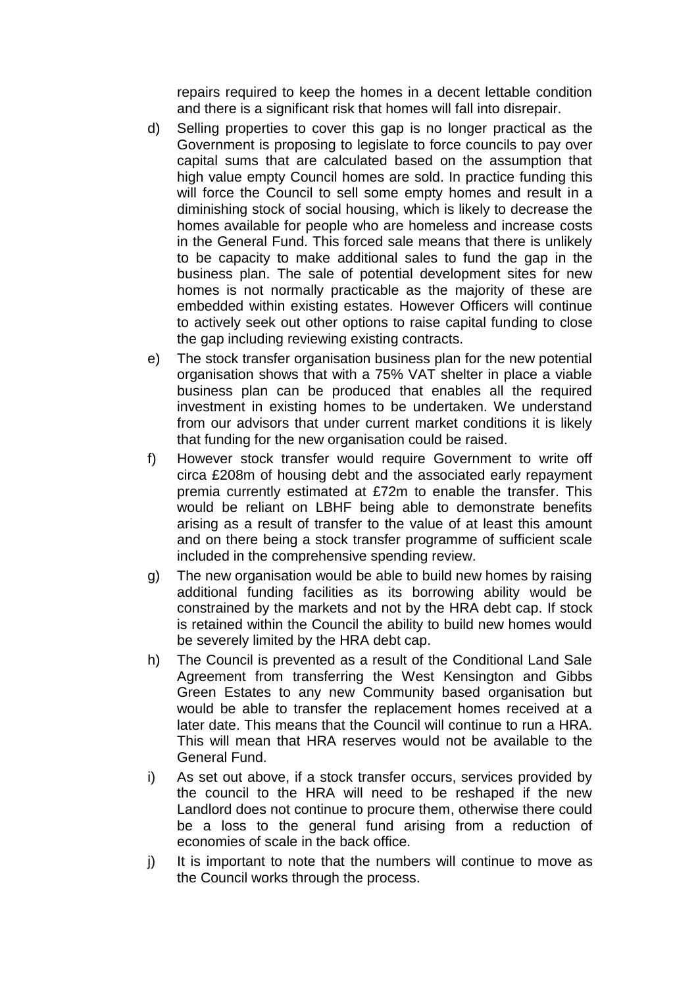repairs required to keep the homes in a decent lettable condition and there is a significant risk that homes will fall into disrepair.

- d) Selling properties to cover this gap is no longer practical as the Government is proposing to legislate to force councils to pay over capital sums that are calculated based on the assumption that high value empty Council homes are sold. In practice funding this will force the Council to sell some empty homes and result in a diminishing stock of social housing, which is likely to decrease the homes available for people who are homeless and increase costs in the General Fund. This forced sale means that there is unlikely to be capacity to make additional sales to fund the gap in the business plan. The sale of potential development sites for new homes is not normally practicable as the majority of these are embedded within existing estates. However Officers will continue to actively seek out other options to raise capital funding to close the gap including reviewing existing contracts.
- e) The stock transfer organisation business plan for the new potential organisation shows that with a 75% VAT shelter in place a viable business plan can be produced that enables all the required investment in existing homes to be undertaken. We understand from our advisors that under current market conditions it is likely that funding for the new organisation could be raised.
- f) However stock transfer would require Government to write off circa £208m of housing debt and the associated early repayment premia currently estimated at £72m to enable the transfer. This would be reliant on LBHF being able to demonstrate benefits arising as a result of transfer to the value of at least this amount and on there being a stock transfer programme of sufficient scale included in the comprehensive spending review.
- g) The new organisation would be able to build new homes by raising additional funding facilities as its borrowing ability would be constrained by the markets and not by the HRA debt cap. If stock is retained within the Council the ability to build new homes would be severely limited by the HRA debt cap.
- h) The Council is prevented as a result of the Conditional Land Sale Agreement from transferring the West Kensington and Gibbs Green Estates to any new Community based organisation but would be able to transfer the replacement homes received at a later date. This means that the Council will continue to run a HRA. This will mean that HRA reserves would not be available to the General Fund.
- i) As set out above, if a stock transfer occurs, services provided by the council to the HRA will need to be reshaped if the new Landlord does not continue to procure them, otherwise there could be a loss to the general fund arising from a reduction of economies of scale in the back office.
- j) It is important to note that the numbers will continue to move as the Council works through the process.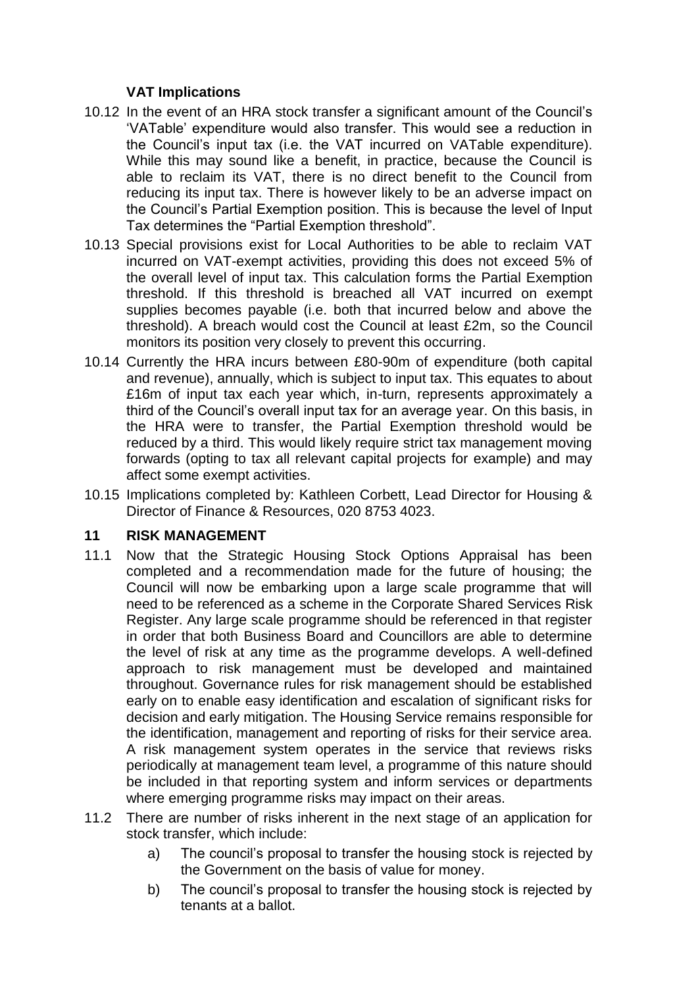# **VAT Implications**

- 10.12 In the event of an HRA stock transfer a significant amount of the Council's 'VATable' expenditure would also transfer. This would see a reduction in the Council's input tax (i.e. the VAT incurred on VATable expenditure). While this may sound like a benefit, in practice, because the Council is able to reclaim its VAT, there is no direct benefit to the Council from reducing its input tax. There is however likely to be an adverse impact on the Council's Partial Exemption position. This is because the level of Input Tax determines the "Partial Exemption threshold".
- 10.13 Special provisions exist for Local Authorities to be able to reclaim VAT incurred on VAT-exempt activities, providing this does not exceed 5% of the overall level of input tax. This calculation forms the Partial Exemption threshold. If this threshold is breached all VAT incurred on exempt supplies becomes payable (i.e. both that incurred below and above the threshold). A breach would cost the Council at least £2m, so the Council monitors its position very closely to prevent this occurring.
- 10.14 Currently the HRA incurs between £80-90m of expenditure (both capital and revenue), annually, which is subject to input tax. This equates to about £16m of input tax each year which, in-turn, represents approximately a third of the Council's overall input tax for an average year. On this basis, in the HRA were to transfer, the Partial Exemption threshold would be reduced by a third. This would likely require strict tax management moving forwards (opting to tax all relevant capital projects for example) and may affect some exempt activities.
- 10.15 Implications completed by: Kathleen Corbett, Lead Director for Housing & Director of Finance & Resources, 020 8753 4023.

# **11 RISK MANAGEMENT**

- 11.1 Now that the Strategic Housing Stock Options Appraisal has been completed and a recommendation made for the future of housing; the Council will now be embarking upon a large scale programme that will need to be referenced as a scheme in the Corporate Shared Services Risk Register. Any large scale programme should be referenced in that register in order that both Business Board and Councillors are able to determine the level of risk at any time as the programme develops. A well-defined approach to risk management must be developed and maintained throughout. Governance rules for risk management should be established early on to enable easy identification and escalation of significant risks for decision and early mitigation. The Housing Service remains responsible for the identification, management and reporting of risks for their service area. A risk management system operates in the service that reviews risks periodically at management team level, a programme of this nature should be included in that reporting system and inform services or departments where emerging programme risks may impact on their areas.
- 11.2 There are number of risks inherent in the next stage of an application for stock transfer, which include:
	- a) The council's proposal to transfer the housing stock is rejected by the Government on the basis of value for money.
	- b) The council's proposal to transfer the housing stock is rejected by tenants at a ballot.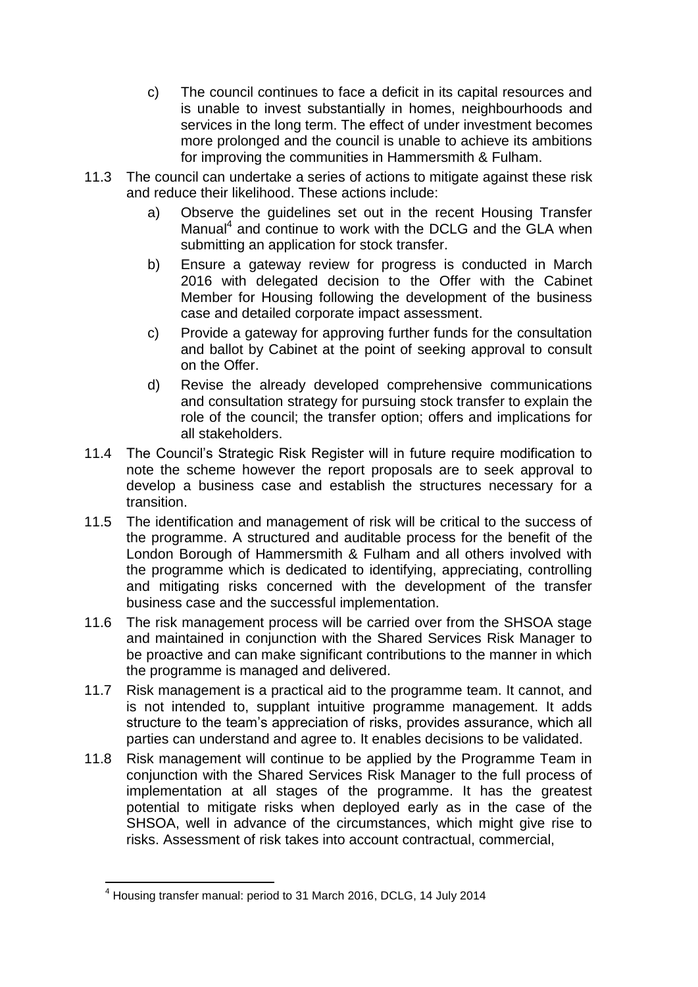- c) The council continues to face a deficit in its capital resources and is unable to invest substantially in homes, neighbourhoods and services in the long term. The effect of under investment becomes more prolonged and the council is unable to achieve its ambitions for improving the communities in Hammersmith & Fulham.
- 11.3 The council can undertake a series of actions to mitigate against these risk and reduce their likelihood. These actions include:
	- a) Observe the guidelines set out in the recent Housing Transfer Manual<sup>4</sup> and continue to work with the DCLG and the GLA when submitting an application for stock transfer.
	- b) Ensure a gateway review for progress is conducted in March 2016 with delegated decision to the Offer with the Cabinet Member for Housing following the development of the business case and detailed corporate impact assessment.
	- c) Provide a gateway for approving further funds for the consultation and ballot by Cabinet at the point of seeking approval to consult on the Offer.
	- d) Revise the already developed comprehensive communications and consultation strategy for pursuing stock transfer to explain the role of the council; the transfer option; offers and implications for all stakeholders.
- 11.4 The Council's Strategic Risk Register will in future require modification to note the scheme however the report proposals are to seek approval to develop a business case and establish the structures necessary for a transition.
- 11.5 The identification and management of risk will be critical to the success of the programme. A structured and auditable process for the benefit of the London Borough of Hammersmith & Fulham and all others involved with the programme which is dedicated to identifying, appreciating, controlling and mitigating risks concerned with the development of the transfer business case and the successful implementation.
- 11.6 The risk management process will be carried over from the SHSOA stage and maintained in conjunction with the Shared Services Risk Manager to be proactive and can make significant contributions to the manner in which the programme is managed and delivered.
- 11.7 Risk management is a practical aid to the programme team. It cannot, and is not intended to, supplant intuitive programme management. It adds structure to the team's appreciation of risks, provides assurance, which all parties can understand and agree to. It enables decisions to be validated.
- 11.8 Risk management will continue to be applied by the Programme Team in conjunction with the Shared Services Risk Manager to the full process of implementation at all stages of the programme. It has the greatest potential to mitigate risks when deployed early as in the case of the SHSOA, well in advance of the circumstances, which might give rise to risks. Assessment of risk takes into account contractual, commercial,

l <sup>4</sup> Housing transfer manual: period to 31 March 2016, DCLG, 14 July 2014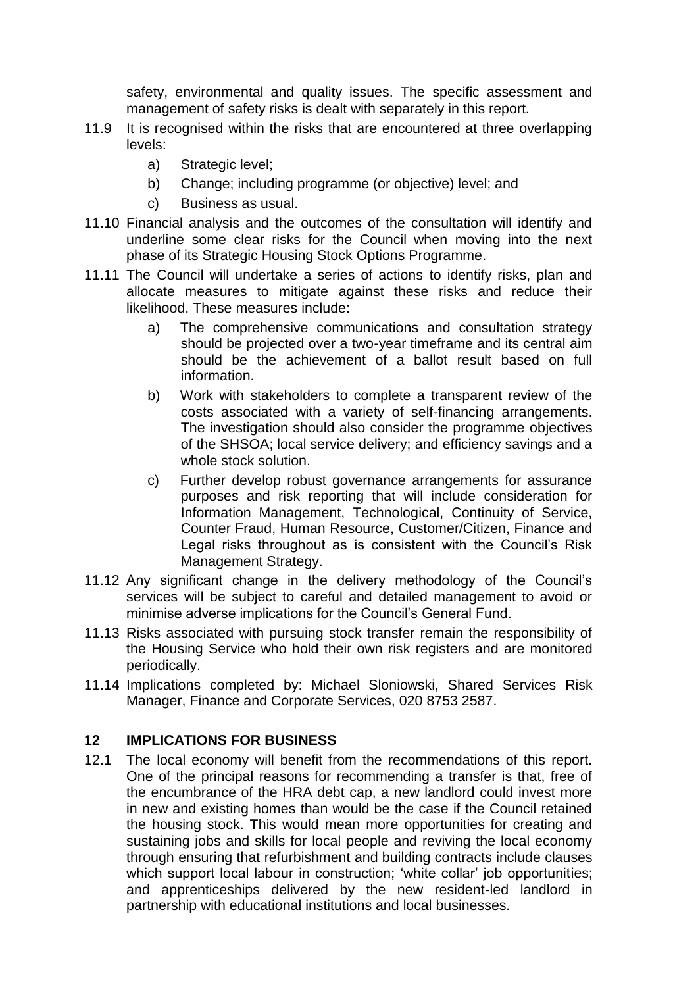safety, environmental and quality issues. The specific assessment and management of safety risks is dealt with separately in this report.

- 11.9 It is recognised within the risks that are encountered at three overlapping levels:
	- a) Strategic level;
	- b) Change; including programme (or objective) level; and
	- c) Business as usual.
- 11.10 Financial analysis and the outcomes of the consultation will identify and underline some clear risks for the Council when moving into the next phase of its Strategic Housing Stock Options Programme.
- 11.11 The Council will undertake a series of actions to identify risks, plan and allocate measures to mitigate against these risks and reduce their likelihood. These measures include:
	- a) The comprehensive communications and consultation strategy should be projected over a two-year timeframe and its central aim should be the achievement of a ballot result based on full information.
	- b) Work with stakeholders to complete a transparent review of the costs associated with a variety of self-financing arrangements. The investigation should also consider the programme objectives of the SHSOA; local service delivery; and efficiency savings and a whole stock solution.
	- c) Further develop robust governance arrangements for assurance purposes and risk reporting that will include consideration for Information Management, Technological, Continuity of Service, Counter Fraud, Human Resource, Customer/Citizen, Finance and Legal risks throughout as is consistent with the Council's Risk Management Strategy.
- 11.12 Any significant change in the delivery methodology of the Council's services will be subject to careful and detailed management to avoid or minimise adverse implications for the Council's General Fund.
- 11.13 Risks associated with pursuing stock transfer remain the responsibility of the Housing Service who hold their own risk registers and are monitored periodically.
- 11.14 Implications completed by: Michael Sloniowski, Shared Services Risk Manager, Finance and Corporate Services, 020 8753 2587.

#### **12 IMPLICATIONS FOR BUSINESS**

12.1 The local economy will benefit from the recommendations of this report. One of the principal reasons for recommending a transfer is that, free of the encumbrance of the HRA debt cap, a new landlord could invest more in new and existing homes than would be the case if the Council retained the housing stock. This would mean more opportunities for creating and sustaining jobs and skills for local people and reviving the local economy through ensuring that refurbishment and building contracts include clauses which support local labour in construction; 'white collar' job opportunities; and apprenticeships delivered by the new resident-led landlord in partnership with educational institutions and local businesses.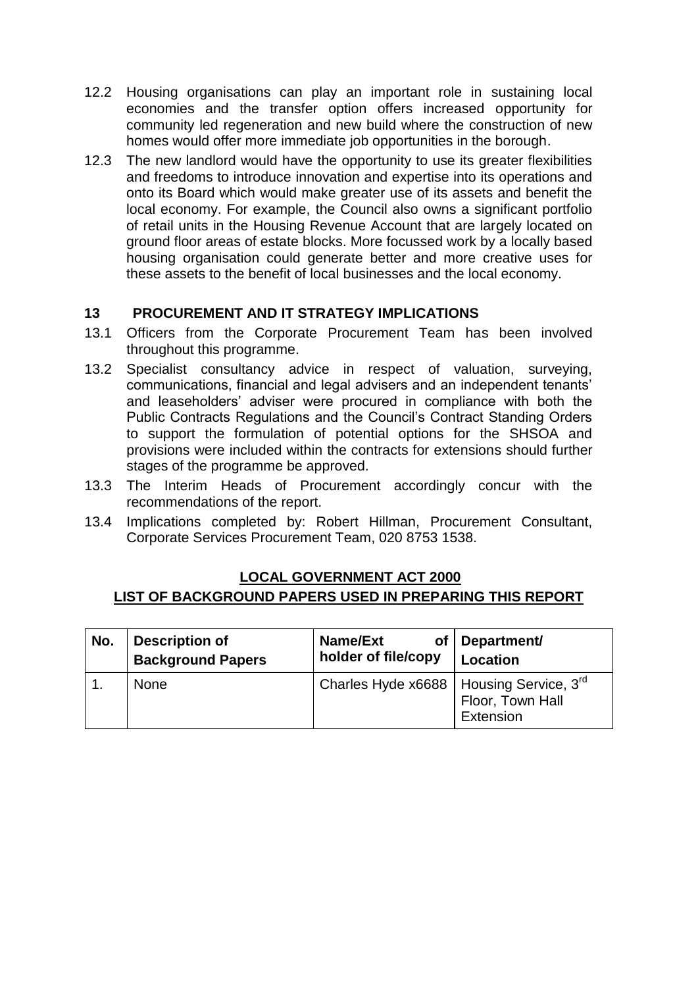- 12.2 Housing organisations can play an important role in sustaining local economies and the transfer option offers increased opportunity for community led regeneration and new build where the construction of new homes would offer more immediate job opportunities in the borough.
- 12.3 The new landlord would have the opportunity to use its greater flexibilities and freedoms to introduce innovation and expertise into its operations and onto its Board which would make greater use of its assets and benefit the local economy. For example, the Council also owns a significant portfolio of retail units in the Housing Revenue Account that are largely located on ground floor areas of estate blocks. More focussed work by a locally based housing organisation could generate better and more creative uses for these assets to the benefit of local businesses and the local economy.

# **13 PROCUREMENT AND IT STRATEGY IMPLICATIONS**

- 13.1 Officers from the Corporate Procurement Team has been involved throughout this programme.
- 13.2 Specialist consultancy advice in respect of valuation, surveying, communications, financial and legal advisers and an independent tenants' and leaseholders' adviser were procured in compliance with both the Public Contracts Regulations and the Council's Contract Standing Orders to support the formulation of potential options for the SHSOA and provisions were included within the contracts for extensions should further stages of the programme be approved.
- 13.3 The Interim Heads of Procurement accordingly concur with the recommendations of the report.
- 13.4 Implications completed by: Robert Hillman, Procurement Consultant, Corporate Services Procurement Team, 020 8753 1538.

### **LOCAL GOVERNMENT ACT 2000 LIST OF BACKGROUND PAPERS USED IN PREPARING THIS REPORT**

| No. | <b>Description of</b>    | Name/Ext                                      | of   Department/              |
|-----|--------------------------|-----------------------------------------------|-------------------------------|
|     | <b>Background Papers</b> | holder of file/copy                           | <b>Location</b>               |
|     | <b>None</b>              | Charles Hyde $x6688$   Housing Service, $3rd$ | Floor, Town Hall<br>Extension |